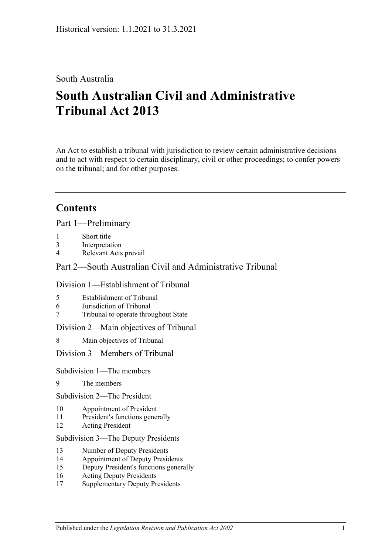# South Australia

# **South Australian Civil and Administrative Tribunal Act 2013**

An Act to establish a tribunal with jurisdiction to review certain administrative decisions and to act with respect to certain disciplinary, civil or other proceedings; to confer powers on the tribunal; and for other purposes.

# **Contents**

Part [1—Preliminary](#page-4-0)

- 1 [Short title](#page-4-1)
- 3 [Interpretation](#page-4-2)
- 4 [Relevant Acts prevail](#page-6-0)

# Part [2—South Australian Civil and Administrative Tribunal](#page-6-1)

### Division [1—Establishment of Tribunal](#page-6-2)

- 5 [Establishment of Tribunal](#page-6-3)
- 6 [Jurisdiction of Tribunal](#page-6-4)
- 7 [Tribunal to operate throughout State](#page-6-5)

### Division [2—Main objectives of Tribunal](#page-6-6)

8 [Main objectives of Tribunal](#page-6-7)

### Division [3—Members of Tribunal](#page-7-0)

### Subdivision [1—The members](#page-7-1)

- 9 [The members](#page-7-2)
- Subdivision [2—The President](#page-7-3)
- 10 [Appointment of President](#page-7-4)
- 11 [President's functions generally](#page-8-0)
- 12 [Acting President](#page-9-0)

### Subdivision [3—The Deputy Presidents](#page-10-0)

- 13 [Number of Deputy Presidents](#page-10-1)
- 14 [Appointment of Deputy Presidents](#page-10-2)
- 15 [Deputy President's functions generally](#page-11-0)
- 16 [Acting Deputy Presidents](#page-12-0)
- 17 [Supplementary Deputy Presidents](#page-13-0)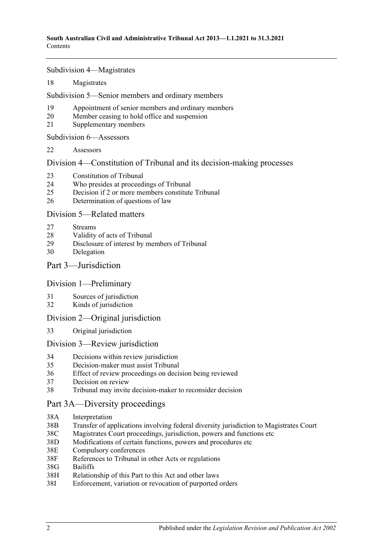Subdivision [4—Magistrates](#page-13-1)

18 [Magistrates](#page-13-2)

Subdivision [5—Senior members and ordinary members](#page-14-0)

- 19 [Appointment of senior members and](#page-14-1) ordinary members
- 20 [Member ceasing to hold office and suspension](#page-15-0)
- 21 [Supplementary members](#page-16-0)

Subdivision [6—Assessors](#page-16-1)

22 [Assessors](#page-16-2)

Division [4—Constitution of Tribunal and its decision-making processes](#page-17-0)

- 23 [Constitution of Tribunal](#page-17-1)
- 24 [Who presides at proceedings of Tribunal](#page-18-0)
- 25 [Decision if 2 or more members constitute Tribunal](#page-19-0)
- 26 [Determination of questions of law](#page-19-1)

### Division [5—Related matters](#page-19-2)

- 27 [Streams](#page-19-3)
- 28 [Validity of acts of Tribunal](#page-19-4)
- 29 [Disclosure of interest by members of Tribunal](#page-19-5)
- 30 [Delegation](#page-20-0)

Part [3—Jurisdiction](#page-20-1)

### Division [1—Preliminary](#page-20-2)

- 31 [Sources of jurisdiction](#page-20-3)
- 32 [Kinds of jurisdiction](#page-20-4)

### Division [2—Original jurisdiction](#page-21-0)

33 [Original jurisdiction](#page-21-1)

### Division [3—Review jurisdiction](#page-21-2)

- 34 [Decisions within review jurisdiction](#page-21-3)<br>35 Decision-maker must assist Tribunal
- 35 [Decision-maker must assist Tribunal](#page-22-0)
- 36 [Effect of review proceedings on decision being reviewed](#page-23-0)
- 37 [Decision on review](#page-23-1)
- 38 [Tribunal may invite decision-maker to reconsider decision](#page-24-0)

### [Part 3A—Diversity proceedings](#page-25-0)

- 38A [Interpretation](#page-25-1)
- 38B [Transfer of applications involving federal diversity jurisdiction to Magistrates Court](#page-25-2)
- 38C [Magistrates Court proceedings, jurisdiction, powers and functions etc](#page-26-0)
- 38D [Modifications of certain functions, powers and](#page-26-1) procedures etc
- 38E [Compulsory conferences](#page-27-0)
- 38F [References to Tribunal in other Acts or regulations](#page-27-1)
- 38G [Bailiffs](#page-27-2)
- 38H [Relationship of this Part to this Act and other laws](#page-27-3)
- 38I [Enforcement, variation or revocation of purported orders](#page-27-4)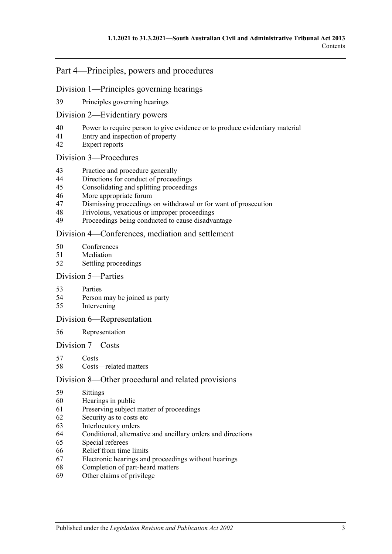# Part [4—Principles, powers and procedures](#page-28-0)

### Division [1—Principles governing hearings](#page-28-1)

[Principles governing hearings](#page-28-2)

### Division [2—Evidentiary powers](#page-29-0)

- [Power to require person to give evidence or to produce evidentiary material](#page-29-1)
- [Entry and inspection of property](#page-30-0)
- [Expert reports](#page-30-1)

### Division [3—Procedures](#page-30-2)

- [Practice and procedure generally](#page-30-3)
- [Directions for conduct of proceedings](#page-31-0)
- [Consolidating and splitting proceedings](#page-31-1)
- [More appropriate forum](#page-31-2)
- [Dismissing proceedings on withdrawal or for want of prosecution](#page-31-3)
- [Frivolous, vexatious or improper proceedings](#page-32-0)
- [Proceedings being conducted to cause disadvantage](#page-32-1)

### Division [4—Conferences, mediation and settlement](#page-33-0)

- [Conferences](#page-33-1)
- [Mediation](#page-34-0)
- [Settling proceedings](#page-35-0)

### Division [5—Parties](#page-36-0)

- [Parties](#page-36-1)
- [Person may be joined as party](#page-36-2)
- [Intervening](#page-36-3)

### Division [6—Representation](#page-37-0)

### [Representation](#page-37-1)

### Division [7—Costs](#page-37-2)

- [Costs](#page-37-3)
- [Costs—related matters](#page-38-0)

### Division [8—Other procedural and related provisions](#page-38-1)

- [Sittings](#page-38-2)
- [Hearings in public](#page-38-3)
- [Preserving subject matter of proceedings](#page-39-0)
- [Security as to costs etc](#page-40-0)
- [Interlocutory orders](#page-40-1)
- [Conditional, alternative and ancillary orders and directions](#page-40-2)
- [Special referees](#page-40-3)
- [Relief from time limits](#page-41-0)
- [Electronic hearings and proceedings without hearings](#page-41-1)
- [Completion of part-heard matters](#page-41-2)
- [Other claims of privilege](#page-41-3)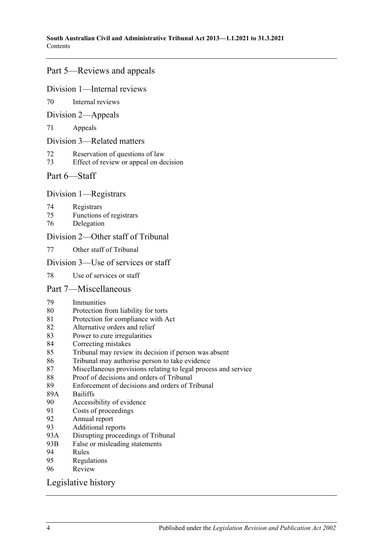# Part [5—Reviews and appeals](#page-41-4)

### Division [1—Internal reviews](#page-41-5)

[Internal reviews](#page-41-6)

### Division [2—Appeals](#page-42-0)

[Appeals](#page-42-1)

### Division [3—Related matters](#page-44-0)

- [Reservation of questions of law](#page-44-1)
- [Effect of review or appeal on decision](#page-44-2)

# Part [6—Staff](#page-44-3)

### Division [1—Registrars](#page-44-4)

- [Registrars](#page-44-5)
- [Functions of registrars](#page-45-0)
- [Delegation](#page-45-1)

# Division [2—Other staff of Tribunal](#page-46-0)

[Other staff of Tribunal](#page-46-1)

### Division [3—Use of services or staff](#page-46-2)

[Use of services or staff](#page-46-3)

### Part [7—Miscellaneous](#page-46-4)

- [Immunities](#page-46-5)
- [Protection from liability for torts](#page-46-6)
- [Protection for compliance with Act](#page-47-0)
- [Alternative orders and relief](#page-47-1)
- [Power to cure irregularities](#page-47-2)
- [Correcting mistakes](#page-47-3)
- [Tribunal may review its decision if person was absent](#page-48-0)
- [Tribunal may authorise person to take evidence](#page-48-1)
- [Miscellaneous provisions relating to legal process and service](#page-48-2)
- [Proof of decisions and orders of Tribunal](#page-49-0)
- [Enforcement of decisions and orders of Tribunal](#page-49-1)
- 89A [Bailiffs](#page-49-2)<br>90 Accessi
- [Accessibility of evidence](#page-50-0)
- [Costs of proceedings](#page-50-1)
- [Annual report](#page-51-0)
- [Additional reports](#page-51-1)<br>93A Disrupting process
- [Disrupting proceedings of Tribunal](#page-51-2)
- 93B [False or misleading statements](#page-51-3)
- [Rules](#page-51-4)
- [Regulations](#page-52-0)
- [Review](#page-53-0)

### [Legislative history](#page-54-0)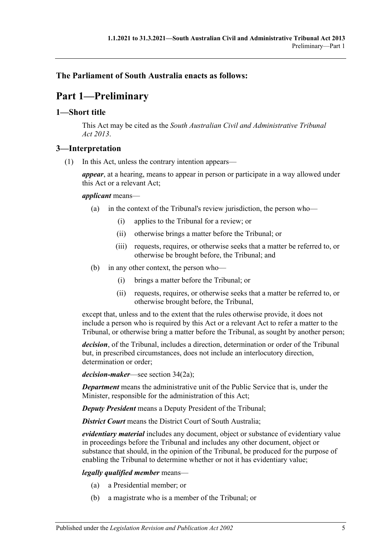# <span id="page-4-0"></span>**The Parliament of South Australia enacts as follows:**

# **Part 1—Preliminary**

### <span id="page-4-1"></span>**1—Short title**

This Act may be cited as the *South Australian Civil and Administrative Tribunal Act 2013*.

# <span id="page-4-2"></span>**3—Interpretation**

(1) In this Act, unless the contrary intention appears—

*appear*, at a hearing, means to appear in person or participate in a way allowed under this Act or a relevant Act;

### *applicant* means—

- (a) in the context of the Tribunal's review jurisdiction, the person who—
	- (i) applies to the Tribunal for a review; or
	- (ii) otherwise brings a matter before the Tribunal; or
	- (iii) requests, requires, or otherwise seeks that a matter be referred to, or otherwise be brought before, the Tribunal; and
- (b) in any other context, the person who—
	- (i) brings a matter before the Tribunal; or
	- (ii) requests, requires, or otherwise seeks that a matter be referred to, or otherwise brought before, the Tribunal,

except that, unless and to the extent that the rules otherwise provide, it does not include a person who is required by this Act or a relevant Act to refer a matter to the Tribunal, or otherwise bring a matter before the Tribunal, as sought by another person;

*decision*, of the Tribunal, includes a direction, determination or order of the Tribunal but, in prescribed circumstances, does not include an interlocutory direction, determination or order;

*decision-maker*—see section 34(2a);

*Department* means the administrative unit of the Public Service that is, under the Minister, responsible for the administration of this Act;

*Deputy President* means a Deputy President of the Tribunal;

*District Court* means the District Court of South Australia;

*evidentiary material* includes any document, object or substance of evidentiary value in proceedings before the Tribunal and includes any other document, object or substance that should, in the opinion of the Tribunal, be produced for the purpose of enabling the Tribunal to determine whether or not it has evidentiary value;

### *legally qualified member* means—

- (a) a Presidential member; or
- (b) a magistrate who is a member of the Tribunal; or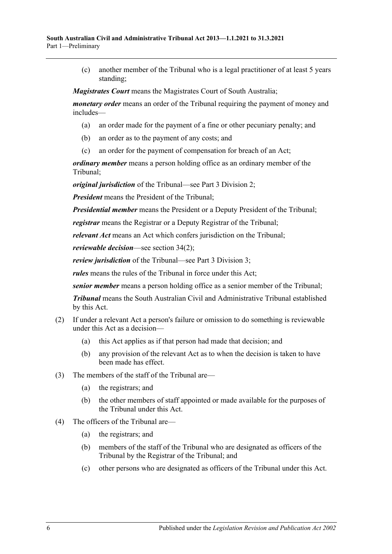(c) another member of the Tribunal who is a legal practitioner of at least 5 years standing;

*Magistrates Court* means the Magistrates Court of South Australia;

*monetary order* means an order of the Tribunal requiring the payment of money and includes—

- (a) an order made for the payment of a fine or other pecuniary penalty; and
- (b) an order as to the payment of any costs; and
- (c) an order for the payment of compensation for breach of an Act;

*ordinary member* means a person holding office as an ordinary member of the Tribunal;

*original jurisdiction* of the Tribunal—see Part [3 Division](#page-21-0) 2;

*President* means the President of the Tribunal;

*Presidential member* means the President or a Deputy President of the Tribunal;

*registrar* means the Registrar or a Deputy Registrar of the Tribunal;

*relevant Act* means an Act which confers jurisdiction on the Tribunal;

*reviewable decision*—see section 34(2);

*review jurisdiction* of the Tribunal—see Part [3 Division](#page-21-2) 3;

*rules* means the rules of the Tribunal in force under this Act;

*senior member* means a person holding office as a senior member of the Tribunal;

*Tribunal* means the South Australian Civil and Administrative Tribunal established by this Act.

- (2) If under a relevant Act a person's failure or omission to do something is reviewable under this Act as a decision—
	- (a) this Act applies as if that person had made that decision; and
	- (b) any provision of the relevant Act as to when the decision is taken to have been made has effect.
- (3) The members of the staff of the Tribunal are—
	- (a) the registrars; and
	- (b) the other members of staff appointed or made available for the purposes of the Tribunal under this Act.
- (4) The officers of the Tribunal are—
	- (a) the registrars; and
	- (b) members of the staff of the Tribunal who are designated as officers of the Tribunal by the Registrar of the Tribunal; and
	- (c) other persons who are designated as officers of the Tribunal under this Act.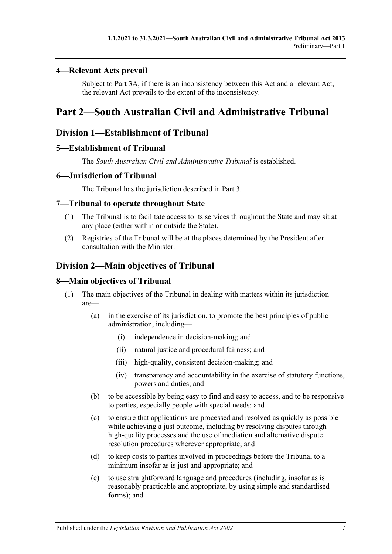### <span id="page-6-0"></span>**4—Relevant Acts prevail**

Subject to [Part 3A,](#page-25-0) if there is an inconsistency between this Act and a relevant Act, the relevant Act prevails to the extent of the inconsistency.

# <span id="page-6-1"></span>**Part 2—South Australian Civil and Administrative Tribunal**

# <span id="page-6-2"></span>**Division 1—Establishment of Tribunal**

### <span id="page-6-3"></span>**5—Establishment of Tribunal**

The *South Australian Civil and Administrative Tribunal* is established.

# <span id="page-6-4"></span>**6—Jurisdiction of Tribunal**

The Tribunal has the jurisdiction described in [Part](#page-20-1) 3.

# <span id="page-6-5"></span>**7—Tribunal to operate throughout State**

- (1) The Tribunal is to facilitate access to its services throughout the State and may sit at any place (either within or outside the State).
- (2) Registries of the Tribunal will be at the places determined by the President after consultation with the Minister.

# <span id="page-6-6"></span>**Division 2—Main objectives of Tribunal**

### <span id="page-6-7"></span>**8—Main objectives of Tribunal**

- (1) The main objectives of the Tribunal in dealing with matters within its jurisdiction are—
	- (a) in the exercise of its jurisdiction, to promote the best principles of public administration, including—
		- (i) independence in decision-making; and
		- (ii) natural justice and procedural fairness; and
		- (iii) high-quality, consistent decision-making; and
		- (iv) transparency and accountability in the exercise of statutory functions, powers and duties; and
	- (b) to be accessible by being easy to find and easy to access, and to be responsive to parties, especially people with special needs; and
	- (c) to ensure that applications are processed and resolved as quickly as possible while achieving a just outcome, including by resolving disputes through high-quality processes and the use of mediation and alternative dispute resolution procedures wherever appropriate; and
	- (d) to keep costs to parties involved in proceedings before the Tribunal to a minimum insofar as is just and appropriate; and
	- (e) to use straightforward language and procedures (including, insofar as is reasonably practicable and appropriate, by using simple and standardised forms); and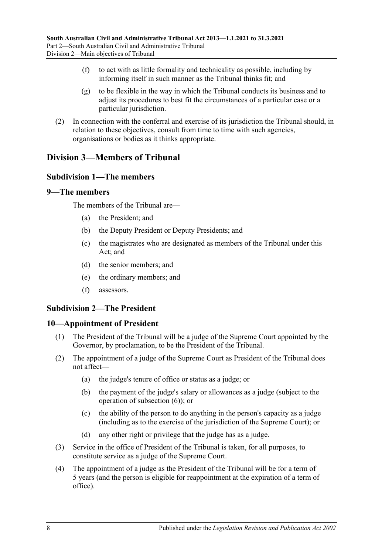- (f) to act with as little formality and technicality as possible, including by informing itself in such manner as the Tribunal thinks fit; and
- (g) to be flexible in the way in which the Tribunal conducts its business and to adjust its procedures to best fit the circumstances of a particular case or a particular jurisdiction.
- (2) In connection with the conferral and exercise of its jurisdiction the Tribunal should, in relation to these objectives, consult from time to time with such agencies, organisations or bodies as it thinks appropriate.

# <span id="page-7-1"></span><span id="page-7-0"></span>**Division 3—Members of Tribunal**

# **Subdivision 1—The members**

### <span id="page-7-2"></span>**9—The members**

The members of the Tribunal are—

- (a) the President; and
- (b) the Deputy President or Deputy Presidents; and
- (c) the magistrates who are designated as members of the Tribunal under this Act; and
- (d) the senior members; and
- (e) the ordinary members; and
- (f) assessors.

# <span id="page-7-3"></span>**Subdivision 2—The President**

### <span id="page-7-4"></span>**10—Appointment of President**

- (1) The President of the Tribunal will be a judge of the Supreme Court appointed by the Governor, by proclamation, to be the President of the Tribunal.
- <span id="page-7-5"></span>(2) The appointment of a judge of the Supreme Court as President of the Tribunal does not affect—
	- (a) the judge's tenure of office or status as a judge; or
	- (b) the payment of the judge's salary or allowances as a judge (subject to the operation of [subsection](#page-8-1) (6)); or
	- (c) the ability of the person to do anything in the person's capacity as a judge (including as to the exercise of the jurisdiction of the Supreme Court); or
	- (d) any other right or privilege that the judge has as a judge.
- <span id="page-7-6"></span>(3) Service in the office of President of the Tribunal is taken, for all purposes, to constitute service as a judge of the Supreme Court.
- (4) The appointment of a judge as the President of the Tribunal will be for a term of 5 years (and the person is eligible for reappointment at the expiration of a term of office).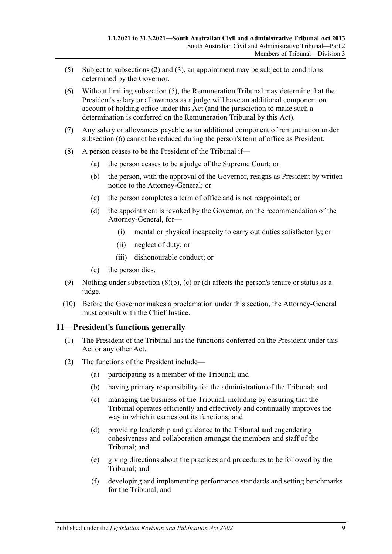- <span id="page-8-2"></span>(5) Subject to [subsections](#page-7-5) (2) and [\(3\),](#page-7-6) an appointment may be subject to conditions determined by the Governor.
- <span id="page-8-1"></span>(6) Without limiting [subsection](#page-8-2) (5), the Remuneration Tribunal may determine that the President's salary or allowances as a judge will have an additional component on account of holding office under this Act (and the jurisdiction to make such a determination is conferred on the Remuneration Tribunal by this Act).
- (7) Any salary or allowances payable as an additional component of remuneration under [subsection](#page-8-1) (6) cannot be reduced during the person's term of office as President.
- <span id="page-8-5"></span><span id="page-8-4"></span><span id="page-8-3"></span>(8) A person ceases to be the President of the Tribunal if—
	- (a) the person ceases to be a judge of the Supreme Court; or
	- (b) the person, with the approval of the Governor, resigns as President by written notice to the Attorney-General; or
	- (c) the person completes a term of office and is not reappointed; or
	- (d) the appointment is revoked by the Governor, on the recommendation of the Attorney-General, for—
		- (i) mental or physical incapacity to carry out duties satisfactorily; or
		- (ii) neglect of duty; or
		- (iii) dishonourable conduct; or
	- (e) the person dies.
- (9) Nothing under [subsection](#page-8-3)  $(8)(b)$ , [\(c\)](#page-8-4) or [\(d\)](#page-8-5) affects the person's tenure or status as a judge.
- (10) Before the Governor makes a proclamation under this section, the Attorney-General must consult with the Chief Justice.

### <span id="page-8-0"></span>**11—President's functions generally**

- (1) The President of the Tribunal has the functions conferred on the President under this Act or any other Act.
- (2) The functions of the President include—
	- (a) participating as a member of the Tribunal; and
	- (b) having primary responsibility for the administration of the Tribunal; and
	- (c) managing the business of the Tribunal, including by ensuring that the Tribunal operates efficiently and effectively and continually improves the way in which it carries out its functions; and
	- (d) providing leadership and guidance to the Tribunal and engendering cohesiveness and collaboration amongst the members and staff of the Tribunal; and
	- (e) giving directions about the practices and procedures to be followed by the Tribunal; and
	- (f) developing and implementing performance standards and setting benchmarks for the Tribunal; and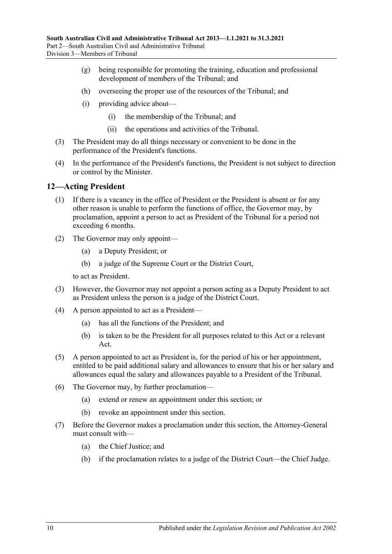- (g) being responsible for promoting the training, education and professional development of members of the Tribunal; and
- (h) overseeing the proper use of the resources of the Tribunal; and
- (i) providing advice about—
	- (i) the membership of the Tribunal; and
	- (ii) the operations and activities of the Tribunal.
- (3) The President may do all things necessary or convenient to be done in the performance of the President's functions.
- (4) In the performance of the President's functions, the President is not subject to direction or control by the Minister.

### <span id="page-9-0"></span>**12—Acting President**

- (1) If there is a vacancy in the office of President or the President is absent or for any other reason is unable to perform the functions of office, the Governor may, by proclamation, appoint a person to act as President of the Tribunal for a period not exceeding 6 months.
- (2) The Governor may only appoint—
	- (a) a Deputy President; or
	- (b) a judge of the Supreme Court or the District Court,

to act as President.

- (3) However, the Governor may not appoint a person acting as a Deputy President to act as President unless the person is a judge of the District Court.
- (4) A person appointed to act as a President—
	- (a) has all the functions of the President; and
	- (b) is taken to be the President for all purposes related to this Act or a relevant Act.
- (5) A person appointed to act as President is, for the period of his or her appointment, entitled to be paid additional salary and allowances to ensure that his or her salary and allowances equal the salary and allowances payable to a President of the Tribunal.
- (6) The Governor may, by further proclamation—
	- (a) extend or renew an appointment under this section; or
	- (b) revoke an appointment under this section.
- (7) Before the Governor makes a proclamation under this section, the Attorney-General must consult with—
	- (a) the Chief Justice; and
	- (b) if the proclamation relates to a judge of the District Court—the Chief Judge.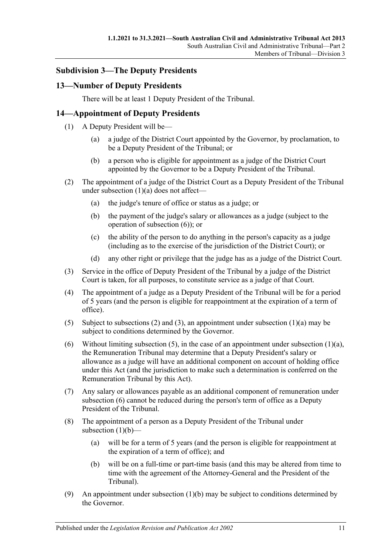### <span id="page-10-0"></span>**Subdivision 3—The Deputy Presidents**

### <span id="page-10-1"></span>**13—Number of Deputy Presidents**

There will be at least 1 Deputy President of the Tribunal.

# <span id="page-10-2"></span>**14—Appointment of Deputy Presidents**

- <span id="page-10-3"></span>(1) A Deputy President will be—
	- (a) a judge of the District Court appointed by the Governor, by proclamation, to be a Deputy President of the Tribunal; or
	- (b) a person who is eligible for appointment as a judge of the District Court appointed by the Governor to be a Deputy President of the Tribunal.
- <span id="page-10-8"></span><span id="page-10-5"></span>(2) The appointment of a judge of the District Court as a Deputy President of the Tribunal under [subsection](#page-10-3) (1)(a) does not affect—
	- (a) the judge's tenure of office or status as a judge; or
	- (b) the payment of the judge's salary or allowances as a judge (subject to the operation of [subsection](#page-10-4) (6)); or
	- (c) the ability of the person to do anything in the person's capacity as a judge (including as to the exercise of the jurisdiction of the District Court); or
	- (d) any other right or privilege that the judge has as a judge of the District Court.
- <span id="page-10-6"></span>(3) Service in the office of Deputy President of the Tribunal by a judge of the District Court is taken, for all purposes, to constitute service as a judge of that Court.
- (4) The appointment of a judge as a Deputy President of the Tribunal will be for a period of 5 years (and the person is eligible for reappointment at the expiration of a term of office).
- <span id="page-10-7"></span>(5) Subject to [subsections \(2\)](#page-10-5) and [\(3\),](#page-10-6) an appointment under [subsection](#page-10-3)  $(1)(a)$  may be subject to conditions determined by the Governor.
- <span id="page-10-4"></span>(6) Without limiting [subsection](#page-10-3) (5), in the case of an appointment under subsection  $(1)(a)$ , the Remuneration Tribunal may determine that a Deputy President's salary or allowance as a judge will have an additional component on account of holding office under this Act (and the jurisdiction to make such a determination is conferred on the Remuneration Tribunal by this Act).
- (7) Any salary or allowances payable as an additional component of remuneration under [subsection](#page-10-4) (6) cannot be reduced during the person's term of office as a Deputy President of the Tribunal.
- (8) The appointment of a person as a Deputy President of the Tribunal under [subsection](#page-10-8)  $(1)(b)$ —
	- (a) will be for a term of 5 years (and the person is eligible for reappointment at the expiration of a term of office); and
	- (b) will be on a full-time or part-time basis (and this may be altered from time to time with the agreement of the Attorney-General and the President of the Tribunal).
- <span id="page-10-10"></span><span id="page-10-9"></span>(9) An appointment under [subsection](#page-10-8)  $(1)(b)$  may be subject to conditions determined by the Governor.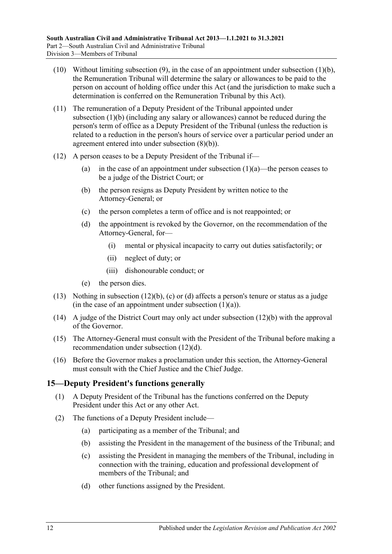- (10) Without limiting [subsection](#page-10-8) (9), in the case of an appointment under subsection  $(1)(b)$ , the Remuneration Tribunal will determine the salary or allowances to be paid to the person on account of holding office under this Act (and the jurisdiction to make such a determination is conferred on the Remuneration Tribunal by this Act).
- (11) The remuneration of a Deputy President of the Tribunal appointed under [subsection](#page-10-8) (1)(b) (including any salary or allowances) cannot be reduced during the person's term of office as a Deputy President of the Tribunal (unless the reduction is related to a reduction in the person's hours of service over a particular period under an agreement entered into under [subsection](#page-10-10) (8)(b)).
- <span id="page-11-3"></span><span id="page-11-2"></span><span id="page-11-1"></span>(12) A person ceases to be a Deputy President of the Tribunal if
	- (a) in the case of an appointment under [subsection](#page-10-3)  $(1)(a)$ —the person ceases to be a judge of the District Court; or
	- (b) the person resigns as Deputy President by written notice to the Attorney-General; or
	- (c) the person completes a term of office and is not reappointed; or
	- (d) the appointment is revoked by the Governor, on the recommendation of the Attorney-General, for—
		- (i) mental or physical incapacity to carry out duties satisfactorily; or
		- (ii) neglect of duty; or
		- (iii) dishonourable conduct; or
	- (e) the person dies.
- (13) Nothing in [subsection](#page-11-1) (12)(b), [\(c\)](#page-11-2) or [\(d\)](#page-11-3) affects a person's tenure or status as a judge (in the case of an appointment under [subsection](#page-10-3)  $(1)(a)$ ).
- (14) A judge of the District Court may only act under [subsection](#page-11-1) (12)(b) with the approval of the Governor.
- (15) The Attorney-General must consult with the President of the Tribunal before making a recommendation under [subsection](#page-11-3) (12)(d).
- (16) Before the Governor makes a proclamation under this section, the Attorney-General must consult with the Chief Justice and the Chief Judge.

# <span id="page-11-0"></span>**15—Deputy President's functions generally**

- (1) A Deputy President of the Tribunal has the functions conferred on the Deputy President under this Act or any other Act.
- (2) The functions of a Deputy President include—
	- (a) participating as a member of the Tribunal; and
	- (b) assisting the President in the management of the business of the Tribunal; and
	- (c) assisting the President in managing the members of the Tribunal, including in connection with the training, education and professional development of members of the Tribunal; and
	- (d) other functions assigned by the President.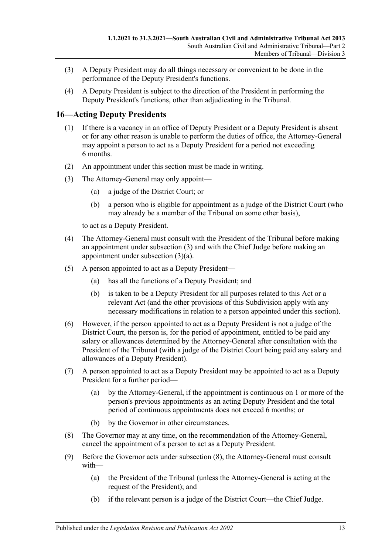- (3) A Deputy President may do all things necessary or convenient to be done in the performance of the Deputy President's functions.
- (4) A Deputy President is subject to the direction of the President in performing the Deputy President's functions, other than adjudicating in the Tribunal.

# <span id="page-12-0"></span>**16—Acting Deputy Presidents**

- (1) If there is a vacancy in an office of Deputy President or a Deputy President is absent or for any other reason is unable to perform the duties of office, the Attorney-General may appoint a person to act as a Deputy President for a period not exceeding 6 months.
- (2) An appointment under this section must be made in writing.
- <span id="page-12-2"></span><span id="page-12-1"></span>(3) The Attorney-General may only appoint—
	- (a) a judge of the District Court; or
	- (b) a person who is eligible for appointment as a judge of the District Court (who may already be a member of the Tribunal on some other basis),

to act as a Deputy President.

- (4) The Attorney-General must consult with the President of the Tribunal before making an appointment under [subsection](#page-12-1) (3) and with the Chief Judge before making an appointment under [subsection](#page-12-2) (3)(a).
- (5) A person appointed to act as a Deputy President—
	- (a) has all the functions of a Deputy President; and
	- (b) is taken to be a Deputy President for all purposes related to this Act or a relevant Act (and the other provisions of this Subdivision apply with any necessary modifications in relation to a person appointed under this section).
- (6) However, if the person appointed to act as a Deputy President is not a judge of the District Court, the person is, for the period of appointment, entitled to be paid any salary or allowances determined by the Attorney-General after consultation with the President of the Tribunal (with a judge of the District Court being paid any salary and allowances of a Deputy President).
- (7) A person appointed to act as a Deputy President may be appointed to act as a Deputy President for a further period—
	- (a) by the Attorney-General, if the appointment is continuous on 1 or more of the person's previous appointments as an acting Deputy President and the total period of continuous appointments does not exceed 6 months; or
	- (b) by the Governor in other circumstances.
- <span id="page-12-3"></span>(8) The Governor may at any time, on the recommendation of the Attorney-General, cancel the appointment of a person to act as a Deputy President.
- (9) Before the Governor acts under [subsection](#page-12-3) (8), the Attorney-General must consult with—
	- (a) the President of the Tribunal (unless the Attorney-General is acting at the request of the President); and
	- (b) if the relevant person is a judge of the District Court—the Chief Judge.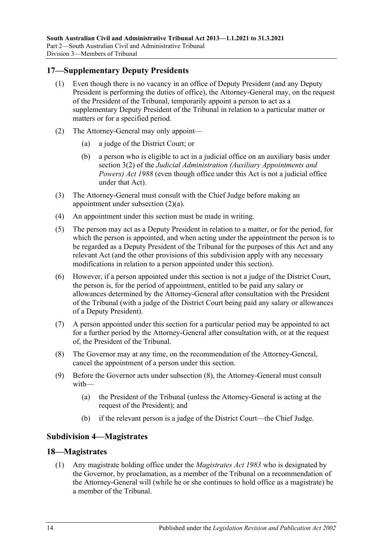# <span id="page-13-0"></span>**17—Supplementary Deputy Presidents**

- (1) Even though there is no vacancy in an office of Deputy President (and any Deputy President is performing the duties of office), the Attorney-General may, on the request of the President of the Tribunal, temporarily appoint a person to act as a supplementary Deputy President of the Tribunal in relation to a particular matter or matters or for a specified period.
- <span id="page-13-3"></span>(2) The Attorney-General may only appoint—
	- (a) a judge of the District Court; or
	- (b) a person who is eligible to act in a judicial office on an auxiliary basis under section 3(2) of the *[Judicial Administration \(Auxiliary Appointments and](http://www.legislation.sa.gov.au/index.aspx?action=legref&type=act&legtitle=Judicial%20Administration%20(Auxiliary%20Appointments%20and%20Powers)%20Act%201988)  [Powers\) Act](http://www.legislation.sa.gov.au/index.aspx?action=legref&type=act&legtitle=Judicial%20Administration%20(Auxiliary%20Appointments%20and%20Powers)%20Act%201988) 1988* (even though office under this Act is not a judicial office under that Act).
- (3) The Attorney-General must consult with the Chief Judge before making an appointment under [subsection](#page-13-3) (2)(a).
- (4) An appointment under this section must be made in writing.
- (5) The person may act as a Deputy President in relation to a matter, or for the period, for which the person is appointed, and when acting under the appointment the person is to be regarded as a Deputy President of the Tribunal for the purposes of this Act and any relevant Act (and the other provisions of this subdivision apply with any necessary modifications in relation to a person appointed under this section).
- (6) However, if a person appointed under this section is not a judge of the District Court, the person is, for the period of appointment, entitled to be paid any salary or allowances determined by the Attorney-General after consultation with the President of the Tribunal (with a judge of the District Court being paid any salary or allowances of a Deputy President).
- (7) A person appointed under this section for a particular period may be appointed to act for a further period by the Attorney-General after consultation with, or at the request of, the President of the Tribunal.
- <span id="page-13-4"></span>(8) The Governor may at any time, on the recommendation of the Attorney-General, cancel the appointment of a person under this section.
- (9) Before the Governor acts under [subsection](#page-13-4) (8), the Attorney-General must consult with—
	- (a) the President of the Tribunal (unless the Attorney-General is acting at the request of the President); and
	- (b) if the relevant person is a judge of the District Court—the Chief Judge.

### <span id="page-13-1"></span>**Subdivision 4—Magistrates**

### <span id="page-13-5"></span><span id="page-13-2"></span>**18—Magistrates**

(1) Any magistrate holding office under the *[Magistrates Act](http://www.legislation.sa.gov.au/index.aspx?action=legref&type=act&legtitle=Magistrates%20Act%201983) 1983* who is designated by the Governor, by proclamation, as a member of the Tribunal on a recommendation of the Attorney-General will (while he or she continues to hold office as a magistrate) be a member of the Tribunal.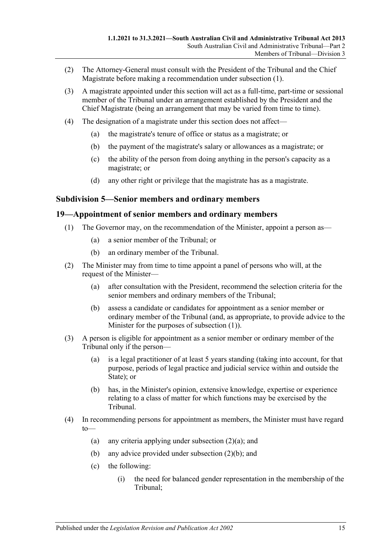- (2) The Attorney-General must consult with the President of the Tribunal and the Chief Magistrate before making a recommendation under [subsection](#page-13-5) (1).
- (3) A magistrate appointed under this section will act as a full-time, part-time or sessional member of the Tribunal under an arrangement established by the President and the Chief Magistrate (being an arrangement that may be varied from time to time).
- (4) The designation of a magistrate under this section does not affect—
	- (a) the magistrate's tenure of office or status as a magistrate; or
	- (b) the payment of the magistrate's salary or allowances as a magistrate; or
	- (c) the ability of the person from doing anything in the person's capacity as a magistrate; or
	- (d) any other right or privilege that the magistrate has as a magistrate.

### <span id="page-14-0"></span>**Subdivision 5—Senior members and ordinary members**

### <span id="page-14-2"></span><span id="page-14-1"></span>**19—Appointment of senior members and ordinary members**

- (1) The Governor may, on the recommendation of the Minister, appoint a person as—
	- (a) a senior member of the Tribunal; or
	- (b) an ordinary member of the Tribunal.
- <span id="page-14-5"></span><span id="page-14-3"></span>(2) The Minister may from time to time appoint a panel of persons who will, at the request of the Minister—
	- (a) after consultation with the President, recommend the selection criteria for the senior members and ordinary members of the Tribunal;
	- (b) assess a candidate or candidates for appointment as a senior member or ordinary member of the Tribunal (and, as appropriate, to provide advice to the Minister for the purposes of [subsection](#page-14-2) (1)).
- <span id="page-14-4"></span>(3) A person is eligible for appointment as a senior member or ordinary member of the Tribunal only if the person—
	- (a) is a legal practitioner of at least 5 years standing (taking into account, for that purpose, periods of legal practice and judicial service within and outside the State); or
	- (b) has, in the Minister's opinion, extensive knowledge, expertise or experience relating to a class of matter for which functions may be exercised by the Tribunal.
- (4) In recommending persons for appointment as members, the Minister must have regard to
	- (a) any criteria applying under [subsection](#page-14-3)  $(2)(a)$ ; and
	- (b) any advice provided under [subsection](#page-14-4) (2)(b); and
	- (c) the following:
		- (i) the need for balanced gender representation in the membership of the Tribunal;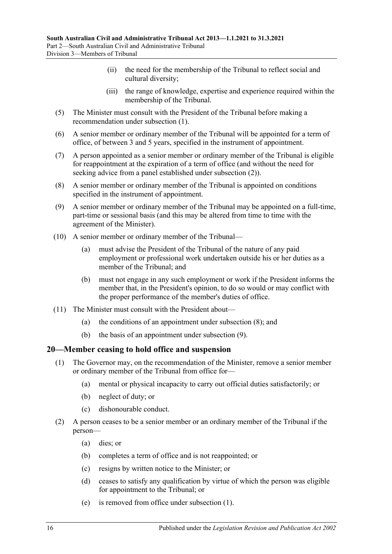- (ii) the need for the membership of the Tribunal to reflect social and cultural diversity;
- (iii) the range of knowledge, expertise and experience required within the membership of the Tribunal.
- (5) The Minister must consult with the President of the Tribunal before making a recommendation under [subsection](#page-14-2) (1).
- (6) A senior member or ordinary member of the Tribunal will be appointed for a term of office, of between 3 and 5 years, specified in the instrument of appointment.
- (7) A person appointed as a senior member or ordinary member of the Tribunal is eligible for reappointment at the expiration of a term of office (and without the need for seeking advice from a panel established under [subsection](#page-14-5) (2)).
- <span id="page-15-1"></span>(8) A senior member or ordinary member of the Tribunal is appointed on conditions specified in the instrument of appointment.
- <span id="page-15-2"></span>(9) A senior member or ordinary member of the Tribunal may be appointed on a full-time, part-time or sessional basis (and this may be altered from time to time with the agreement of the Minister).
- (10) A senior member or ordinary member of the Tribunal—
	- (a) must advise the President of the Tribunal of the nature of any paid employment or professional work undertaken outside his or her duties as a member of the Tribunal; and
	- (b) must not engage in any such employment or work if the President informs the member that, in the President's opinion, to do so would or may conflict with the proper performance of the member's duties of office.
- (11) The Minister must consult with the President about—
	- (a) the conditions of an appointment under [subsection](#page-15-1) (8); and
	- (b) the basis of an appointment under [subsection](#page-15-2) (9).

### <span id="page-15-3"></span><span id="page-15-0"></span>**20—Member ceasing to hold office and suspension**

- (1) The Governor may, on the recommendation of the Minister, remove a senior member or ordinary member of the Tribunal from office for—
	- (a) mental or physical incapacity to carry out official duties satisfactorily; or
	- (b) neglect of duty; or
	- (c) dishonourable conduct.
- (2) A person ceases to be a senior member or an ordinary member of the Tribunal if the person—
	- (a) dies; or
	- (b) completes a term of office and is not reappointed; or
	- (c) resigns by written notice to the Minister; or
	- (d) ceases to satisfy any qualification by virtue of which the person was eligible for appointment to the Tribunal; or
	- (e) is removed from office under [subsection](#page-15-3) (1).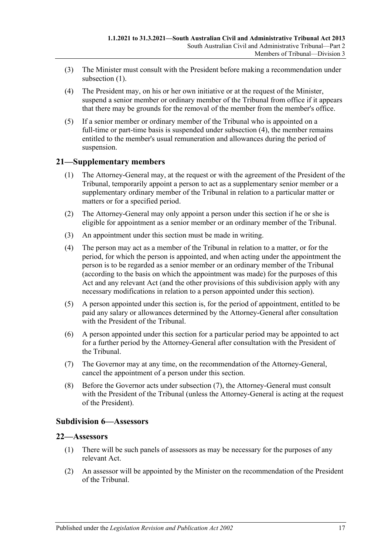- (3) The Minister must consult with the President before making a recommendation under [subsection](#page-15-3) (1).
- <span id="page-16-3"></span>(4) The President may, on his or her own initiative or at the request of the Minister, suspend a senior member or ordinary member of the Tribunal from office if it appears that there may be grounds for the removal of the member from the member's office.
- (5) If a senior member or ordinary member of the Tribunal who is appointed on a full-time or part-time basis is suspended under [subsection](#page-16-3) (4), the member remains entitled to the member's usual remuneration and allowances during the period of suspension.

### <span id="page-16-0"></span>**21—Supplementary members**

- (1) The Attorney-General may, at the request or with the agreement of the President of the Tribunal, temporarily appoint a person to act as a supplementary senior member or a supplementary ordinary member of the Tribunal in relation to a particular matter or matters or for a specified period.
- (2) The Attorney-General may only appoint a person under this section if he or she is eligible for appointment as a senior member or an ordinary member of the Tribunal.
- (3) An appointment under this section must be made in writing.
- (4) The person may act as a member of the Tribunal in relation to a matter, or for the period, for which the person is appointed, and when acting under the appointment the person is to be regarded as a senior member or an ordinary member of the Tribunal (according to the basis on which the appointment was made) for the purposes of this Act and any relevant Act (and the other provisions of this subdivision apply with any necessary modifications in relation to a person appointed under this section).
- (5) A person appointed under this section is, for the period of appointment, entitled to be paid any salary or allowances determined by the Attorney-General after consultation with the President of the Tribunal.
- (6) A person appointed under this section for a particular period may be appointed to act for a further period by the Attorney-General after consultation with the President of the Tribunal.
- <span id="page-16-4"></span>(7) The Governor may at any time, on the recommendation of the Attorney-General, cancel the appointment of a person under this section.
- (8) Before the Governor acts under [subsection](#page-16-4) (7), the Attorney-General must consult with the President of the Tribunal (unless the Attorney-General is acting at the request of the President).

### <span id="page-16-1"></span>**Subdivision 6—Assessors**

### <span id="page-16-2"></span>**22—Assessors**

- (1) There will be such panels of assessors as may be necessary for the purposes of any relevant Act.
- (2) An assessor will be appointed by the Minister on the recommendation of the President of the Tribunal.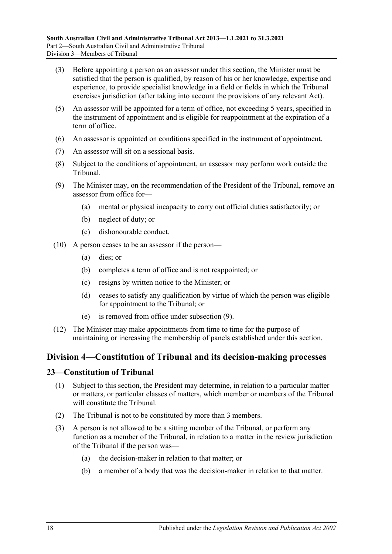- (3) Before appointing a person as an assessor under this section, the Minister must be satisfied that the person is qualified, by reason of his or her knowledge, expertise and experience, to provide specialist knowledge in a field or fields in which the Tribunal exercises jurisdiction (after taking into account the provisions of any relevant Act).
- (5) An assessor will be appointed for a term of office, not exceeding 5 years, specified in the instrument of appointment and is eligible for reappointment at the expiration of a term of office.
- (6) An assessor is appointed on conditions specified in the instrument of appointment.
- (7) An assessor will sit on a sessional basis.
- (8) Subject to the conditions of appointment, an assessor may perform work outside the Tribunal.
- <span id="page-17-2"></span>(9) The Minister may, on the recommendation of the President of the Tribunal, remove an assessor from office for—
	- (a) mental or physical incapacity to carry out official duties satisfactorily; or
	- (b) neglect of duty; or
	- (c) dishonourable conduct.
- (10) A person ceases to be an assessor if the person—
	- (a) dies; or
	- (b) completes a term of office and is not reappointed; or
	- (c) resigns by written notice to the Minister; or
	- (d) ceases to satisfy any qualification by virtue of which the person was eligible for appointment to the Tribunal; or
	- (e) is removed from office under [subsection](#page-17-2) (9).
- (12) The Minister may make appointments from time to time for the purpose of maintaining or increasing the membership of panels established under this section.

# <span id="page-17-0"></span>**Division 4—Constitution of Tribunal and its decision-making processes**

### <span id="page-17-1"></span>**23—Constitution of Tribunal**

- (1) Subject to this section, the President may determine, in relation to a particular matter or matters, or particular classes of matters, which member or members of the Tribunal will constitute the Tribunal.
- (2) The Tribunal is not to be constituted by more than 3 members.
- (3) A person is not allowed to be a sitting member of the Tribunal, or perform any function as a member of the Tribunal, in relation to a matter in the review jurisdiction of the Tribunal if the person was—
	- (a) the decision-maker in relation to that matter; or
	- (b) a member of a body that was the decision-maker in relation to that matter.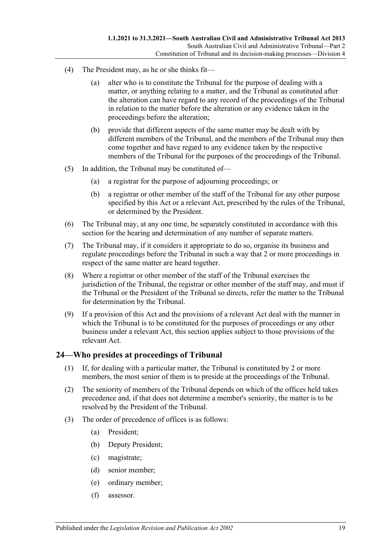- (4) The President may, as he or she thinks fit—
	- (a) alter who is to constitute the Tribunal for the purpose of dealing with a matter, or anything relating to a matter, and the Tribunal as constituted after the alteration can have regard to any record of the proceedings of the Tribunal in relation to the matter before the alteration or any evidence taken in the proceedings before the alteration;
	- (b) provide that different aspects of the same matter may be dealt with by different members of the Tribunal, and the members of the Tribunal may then come together and have regard to any evidence taken by the respective members of the Tribunal for the purposes of the proceedings of the Tribunal.
- (5) In addition, the Tribunal may be constituted of—
	- (a) a registrar for the purpose of adjourning proceedings; or
	- (b) a registrar or other member of the staff of the Tribunal for any other purpose specified by this Act or a relevant Act, prescribed by the rules of the Tribunal, or determined by the President.
- (6) The Tribunal may, at any one time, be separately constituted in accordance with this section for the hearing and determination of any number of separate matters.
- (7) The Tribunal may, if it considers it appropriate to do so, organise its business and regulate proceedings before the Tribunal in such a way that 2 or more proceedings in respect of the same matter are heard together.
- (8) Where a registrar or other member of the staff of the Tribunal exercises the jurisdiction of the Tribunal, the registrar or other member of the staff may, and must if the Tribunal or the President of the Tribunal so directs, refer the matter to the Tribunal for determination by the Tribunal.
- (9) If a provision of this Act and the provisions of a relevant Act deal with the manner in which the Tribunal is to be constituted for the purposes of proceedings or any other business under a relevant Act, this section applies subject to those provisions of the relevant Act.

# <span id="page-18-0"></span>**24—Who presides at proceedings of Tribunal**

- (1) If, for dealing with a particular matter, the Tribunal is constituted by 2 or more members, the most senior of them is to preside at the proceedings of the Tribunal.
- (2) The seniority of members of the Tribunal depends on which of the offices held takes precedence and, if that does not determine a member's seniority, the matter is to be resolved by the President of the Tribunal.
- (3) The order of precedence of offices is as follows:
	- (a) President;
	- (b) Deputy President;
	- (c) magistrate;
	- (d) senior member;
	- (e) ordinary member;
	- (f) assessor.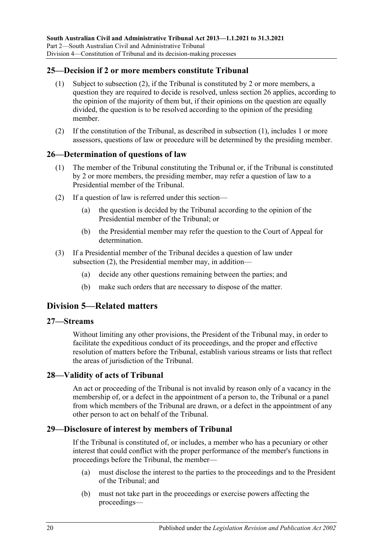### <span id="page-19-7"></span><span id="page-19-0"></span>**25—Decision if 2 or more members constitute Tribunal**

- (1) Subject to [subsection](#page-19-6) (2), if the Tribunal is constituted by 2 or more members, a question they are required to decide is resolved, unless [section](#page-19-1) 26 applies, according to the opinion of the majority of them but, if their opinions on the question are equally divided, the question is to be resolved according to the opinion of the presiding member.
- <span id="page-19-6"></span>(2) If the constitution of the Tribunal, as described in [subsection](#page-19-7) (1), includes 1 or more assessors, questions of law or procedure will be determined by the presiding member.

### <span id="page-19-1"></span>**26—Determination of questions of law**

- (1) The member of the Tribunal constituting the Tribunal or, if the Tribunal is constituted by 2 or more members, the presiding member, may refer a question of law to a Presidential member of the Tribunal.
- <span id="page-19-8"></span>(2) If a question of law is referred under this section—
	- (a) the question is decided by the Tribunal according to the opinion of the Presidential member of the Tribunal; or
	- (b) the Presidential member may refer the question to the Court of Appeal for determination.
- (3) If a Presidential member of the Tribunal decides a question of law under [subsection](#page-19-8) (2), the Presidential member may, in addition—
	- (a) decide any other questions remaining between the parties; and
	- (b) make such orders that are necessary to dispose of the matter.

# <span id="page-19-2"></span>**Division 5—Related matters**

### <span id="page-19-3"></span>**27—Streams**

Without limiting any other provisions, the President of the Tribunal may, in order to facilitate the expeditious conduct of its proceedings, and the proper and effective resolution of matters before the Tribunal, establish various streams or lists that reflect the areas of jurisdiction of the Tribunal.

### <span id="page-19-4"></span>**28—Validity of acts of Tribunal**

An act or proceeding of the Tribunal is not invalid by reason only of a vacancy in the membership of, or a defect in the appointment of a person to, the Tribunal or a panel from which members of the Tribunal are drawn, or a defect in the appointment of any other person to act on behalf of the Tribunal.

### <span id="page-19-5"></span>**29—Disclosure of interest by members of Tribunal**

If the Tribunal is constituted of, or includes, a member who has a pecuniary or other interest that could conflict with the proper performance of the member's functions in proceedings before the Tribunal, the member—

- (a) must disclose the interest to the parties to the proceedings and to the President of the Tribunal; and
- (b) must not take part in the proceedings or exercise powers affecting the proceedings—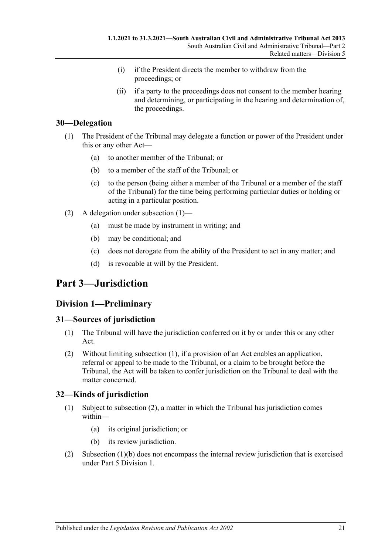- (i) if the President directs the member to withdraw from the proceedings; or
- (ii) if a party to the proceedings does not consent to the member hearing and determining, or participating in the hearing and determination of, the proceedings.

# <span id="page-20-5"></span><span id="page-20-0"></span>**30—Delegation**

- (1) The President of the Tribunal may delegate a function or power of the President under this or any other Act—
	- (a) to another member of the Tribunal; or
	- (b) to a member of the staff of the Tribunal; or
	- (c) to the person (being either a member of the Tribunal or a member of the staff of the Tribunal) for the time being performing particular duties or holding or acting in a particular position.
- (2) A delegation under [subsection](#page-20-5) (1)—
	- (a) must be made by instrument in writing; and
	- (b) may be conditional; and
	- (c) does not derogate from the ability of the President to act in any matter; and
	- (d) is revocable at will by the President.

# <span id="page-20-1"></span>**Part 3—Jurisdiction**

# <span id="page-20-2"></span>**Division 1—Preliminary**

### <span id="page-20-6"></span><span id="page-20-3"></span>**31—Sources of jurisdiction**

- (1) The Tribunal will have the jurisdiction conferred on it by or under this or any other Act.
- (2) Without limiting [subsection](#page-20-6) (1), if a provision of an Act enables an application, referral or appeal to be made to the Tribunal, or a claim to be brought before the Tribunal, the Act will be taken to confer jurisdiction on the Tribunal to deal with the matter concerned.

### <span id="page-20-4"></span>**32—Kinds of jurisdiction**

- (1) Subject to [subsection](#page-20-7) (2), a matter in which the Tribunal has jurisdiction comes within—
	- (a) its original jurisdiction; or
	- (b) its review jurisdiction.
- <span id="page-20-8"></span><span id="page-20-7"></span>(2) [Subsection](#page-20-8) (1)(b) does not encompass the internal review jurisdiction that is exercised under Part [5 Division](#page-41-5) 1.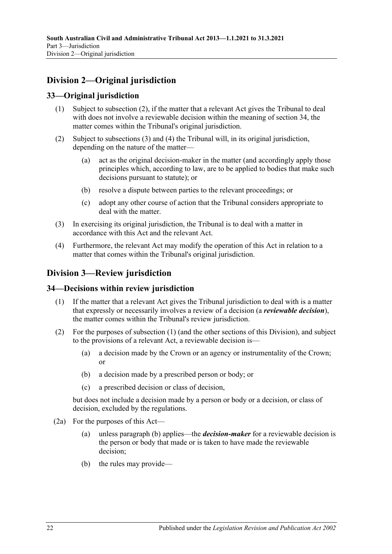# <span id="page-21-0"></span>**Division 2—Original jurisdiction**

# <span id="page-21-1"></span>**33—Original jurisdiction**

- (1) Subject to subsection (2), if the matter that a relevant Act gives the Tribunal to deal with does not involve a reviewable decision within the meaning of [section](#page-21-3) 34, the matter comes within the Tribunal's original jurisdiction.
- (2) Subject to [subsections](#page-21-4) (3) and [\(4\)](#page-21-5) the Tribunal will, in its original jurisdiction, depending on the nature of the matter—
	- (a) act as the original decision-maker in the matter (and accordingly apply those principles which, according to law, are to be applied to bodies that make such decisions pursuant to statute); or
	- (b) resolve a dispute between parties to the relevant proceedings; or
	- (c) adopt any other course of action that the Tribunal considers appropriate to deal with the matter.
- <span id="page-21-4"></span>(3) In exercising its original jurisdiction, the Tribunal is to deal with a matter in accordance with this Act and the relevant Act.
- <span id="page-21-5"></span>(4) Furthermore, the relevant Act may modify the operation of this Act in relation to a matter that comes within the Tribunal's original jurisdiction.

# <span id="page-21-2"></span>**Division 3—Review jurisdiction**

### <span id="page-21-6"></span><span id="page-21-3"></span>**34—Decisions within review jurisdiction**

- (1) If the matter that a relevant Act gives the Tribunal jurisdiction to deal with is a matter that expressly or necessarily involves a review of a decision (a *reviewable decision*), the matter comes within the Tribunal's review jurisdiction.
- (2) For the purposes of [subsection](#page-21-6) (1) (and the other sections of this Division), and subject to the provisions of a relevant Act, a reviewable decision is—
	- (a) a decision made by the Crown or an agency or instrumentality of the Crown; or
	- (b) a decision made by a prescribed person or body; or
	- (c) a prescribed decision or class of decision,

but does not include a decision made by a person or body or a decision, or class of decision, excluded by the regulations.

- <span id="page-21-8"></span><span id="page-21-7"></span>(2a) For the purposes of this Act—
	- (a) unless [paragraph](#page-21-7) (b) applies—the *decision-maker* for a reviewable decision is the person or body that made or is taken to have made the reviewable decision;
	- (b) the rules may provide—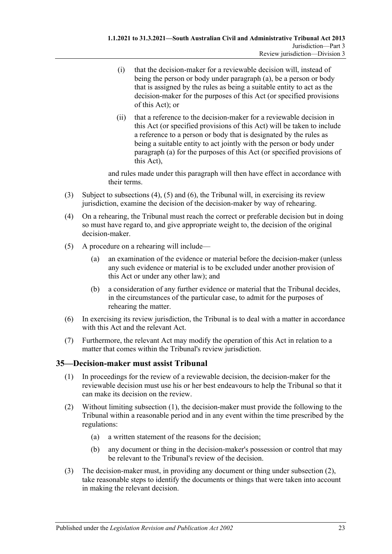- (i) that the decision-maker for a reviewable decision will, instead of being the person or body under [paragraph](#page-21-8) (a), be a person or body that is assigned by the rules as being a suitable entity to act as the decision-maker for the purposes of this Act (or specified provisions of this Act); or
- (ii) that a reference to the decision-maker for a reviewable decision in this Act (or specified provisions of this Act) will be taken to include a reference to a person or body that is designated by the rules as being a suitable entity to act jointly with the person or body under [paragraph](#page-21-8) (a) for the purposes of this Act (or specified provisions of this Act),

and rules made under this paragraph will then have effect in accordance with their terms.

- (3) Subject to [subsections \(4\),](#page-22-1) [\(5\)](#page-22-2) and [\(6\),](#page-22-3) the Tribunal will, in exercising its review jurisdiction, examine the decision of the decision-maker by way of rehearing.
- <span id="page-22-1"></span>(4) On a rehearing, the Tribunal must reach the correct or preferable decision but in doing so must have regard to, and give appropriate weight to, the decision of the original decision-maker.
- <span id="page-22-2"></span>(5) A procedure on a rehearing will include—
	- (a) an examination of the evidence or material before the decision-maker (unless any such evidence or material is to be excluded under another provision of this Act or under any other law); and
	- (b) a consideration of any further evidence or material that the Tribunal decides, in the circumstances of the particular case, to admit for the purposes of rehearing the matter.
- <span id="page-22-3"></span>(6) In exercising its review jurisdiction, the Tribunal is to deal with a matter in accordance with this Act and the relevant Act.
- (7) Furthermore, the relevant Act may modify the operation of this Act in relation to a matter that comes within the Tribunal's review jurisdiction.

### <span id="page-22-4"></span><span id="page-22-0"></span>**35—Decision-maker must assist Tribunal**

- (1) In proceedings for the review of a reviewable decision, the decision-maker for the reviewable decision must use his or her best endeavours to help the Tribunal so that it can make its decision on the review.
- <span id="page-22-6"></span><span id="page-22-5"></span>(2) Without limiting [subsection](#page-22-4) (1), the decision-maker must provide the following to the Tribunal within a reasonable period and in any event within the time prescribed by the regulations:
	- (a) a written statement of the reasons for the decision;
	- (b) any document or thing in the decision-maker's possession or control that may be relevant to the Tribunal's review of the decision.
- (3) The decision-maker must, in providing any document or thing under [subsection](#page-22-5) (2), take reasonable steps to identify the documents or things that were taken into account in making the relevant decision.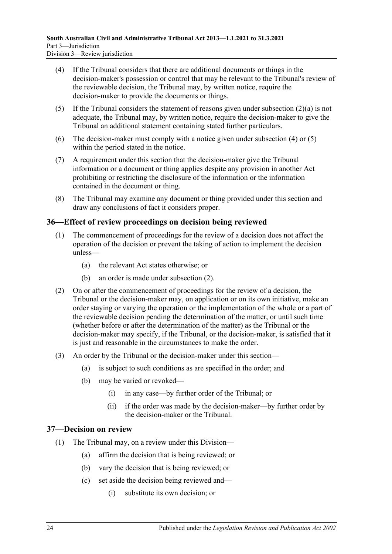- <span id="page-23-2"></span>(4) If the Tribunal considers that there are additional documents or things in the decision-maker's possession or control that may be relevant to the Tribunal's review of the reviewable decision, the Tribunal may, by written notice, require the decision-maker to provide the documents or things.
- <span id="page-23-3"></span>(5) If the Tribunal considers the statement of reasons given under [subsection](#page-22-6)  $(2)(a)$  is not adequate, the Tribunal may, by written notice, require the decision-maker to give the Tribunal an additional statement containing stated further particulars.
- (6) The decision-maker must comply with a notice given under [subsection](#page-23-2) (4) or [\(5\)](#page-23-3) within the period stated in the notice.
- (7) A requirement under this section that the decision-maker give the Tribunal information or a document or thing applies despite any provision in another Act prohibiting or restricting the disclosure of the information or the information contained in the document or thing.
- (8) The Tribunal may examine any document or thing provided under this section and draw any conclusions of fact it considers proper.

# <span id="page-23-0"></span>**36—Effect of review proceedings on decision being reviewed**

- (1) The commencement of proceedings for the review of a decision does not affect the operation of the decision or prevent the taking of action to implement the decision unless—
	- (a) the relevant Act states otherwise; or
	- (b) an order is made under [subsection](#page-23-4) (2).
- <span id="page-23-4"></span>(2) On or after the commencement of proceedings for the review of a decision, the Tribunal or the decision-maker may, on application or on its own initiative, make an order staying or varying the operation or the implementation of the whole or a part of the reviewable decision pending the determination of the matter, or until such time (whether before or after the determination of the matter) as the Tribunal or the decision-maker may specify, if the Tribunal, or the decision-maker, is satisfied that it is just and reasonable in the circumstances to make the order.
- (3) An order by the Tribunal or the decision-maker under this section—
	- (a) is subject to such conditions as are specified in the order; and
	- (b) may be varied or revoked—
		- (i) in any case—by further order of the Tribunal; or
		- (ii) if the order was made by the decision-maker—by further order by the decision-maker or the Tribunal.

### <span id="page-23-1"></span>**37—Decision on review**

- (1) The Tribunal may, on a review under this Division—
	- (a) affirm the decision that is being reviewed; or
	- (b) vary the decision that is being reviewed; or
	- (c) set aside the decision being reviewed and—
		- (i) substitute its own decision; or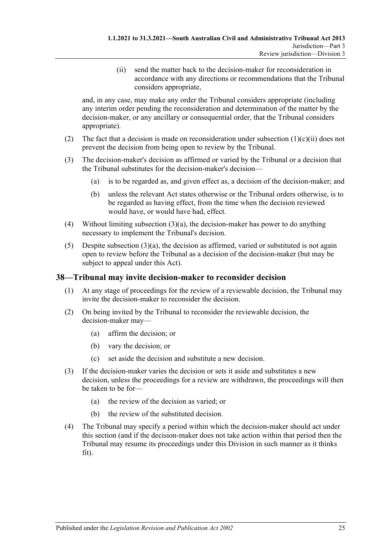(ii) send the matter back to the decision-maker for reconsideration in accordance with any directions or recommendations that the Tribunal considers appropriate,

<span id="page-24-1"></span>and, in any case, may make any order the Tribunal considers appropriate (including any interim order pending the reconsideration and determination of the matter by the decision-maker, or any ancillary or consequential order, that the Tribunal considers appropriate).

- (2) The fact that a decision is made on reconsideration under [subsection](#page-24-1)  $(1)(c)(ii)$  does not prevent the decision from being open to review by the Tribunal.
- <span id="page-24-2"></span>(3) The decision-maker's decision as affirmed or varied by the Tribunal or a decision that the Tribunal substitutes for the decision-maker's decision—
	- (a) is to be regarded as, and given effect as, a decision of the decision-maker; and
	- (b) unless the relevant Act states otherwise or the Tribunal orders otherwise, is to be regarded as having effect, from the time when the decision reviewed would have, or would have had, effect.
- (4) Without limiting [subsection](#page-24-2) (3)(a), the decision-maker has power to do anything necessary to implement the Tribunal's decision.
- (5) Despite [subsection](#page-24-2)  $(3)(a)$ , the decision as affirmed, varied or substituted is not again open to review before the Tribunal as a decision of the decision-maker (but may be subject to appeal under this Act).

### <span id="page-24-0"></span>**38—Tribunal may invite decision-maker to reconsider decision**

- (1) At any stage of proceedings for the review of a reviewable decision, the Tribunal may invite the decision-maker to reconsider the decision.
- (2) On being invited by the Tribunal to reconsider the reviewable decision, the decision-maker may—
	- (a) affirm the decision; or
	- (b) vary the decision; or
	- (c) set aside the decision and substitute a new decision.
- (3) If the decision-maker varies the decision or sets it aside and substitutes a new decision, unless the proceedings for a review are withdrawn, the proceedings will then be taken to be for—
	- (a) the review of the decision as varied; or
	- (b) the review of the substituted decision.
- (4) The Tribunal may specify a period within which the decision-maker should act under this section (and if the decision-maker does not take action within that period then the Tribunal may resume its proceedings under this Division in such manner as it thinks fit).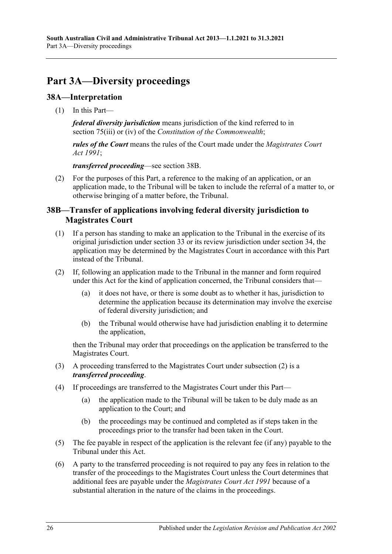# <span id="page-25-0"></span>**Part 3A—Diversity proceedings**

# <span id="page-25-1"></span>**38A—Interpretation**

(1) In this Part—

*federal diversity jurisdiction* means jurisdiction of the kind referred to in section 75(iii) or (iv) of the *Constitution of the Commonwealth*;

*rules of the Court* means the rules of the Court made under the *[Magistrates Court](http://www.legislation.sa.gov.au/index.aspx?action=legref&type=act&legtitle=Magistrates%20Court%20Act%201991)  Act [1991](http://www.legislation.sa.gov.au/index.aspx?action=legref&type=act&legtitle=Magistrates%20Court%20Act%201991)*;

*transferred proceeding*—see [section](#page-25-2) 38B.

(2) For the purposes of this Part, a reference to the making of an application, or an application made, to the Tribunal will be taken to include the referral of a matter to, or otherwise bringing of a matter before, the Tribunal.

### <span id="page-25-2"></span>**38B—Transfer of applications involving federal diversity jurisdiction to Magistrates Court**

- (1) If a person has standing to make an application to the Tribunal in the exercise of its original jurisdiction under [section](#page-21-1) 33 or its review jurisdiction under [section](#page-21-3) 34, the application may be determined by the Magistrates Court in accordance with this Part instead of the Tribunal.
- <span id="page-25-3"></span>(2) If, following an application made to the Tribunal in the manner and form required under this Act for the kind of application concerned, the Tribunal considers that—
	- (a) it does not have, or there is some doubt as to whether it has, jurisdiction to determine the application because its determination may involve the exercise of federal diversity jurisdiction; and
	- (b) the Tribunal would otherwise have had jurisdiction enabling it to determine the application,

then the Tribunal may order that proceedings on the application be transferred to the Magistrates Court.

- (3) A proceeding transferred to the Magistrates Court under [subsection](#page-25-3) (2) is a *transferred proceeding*.
- (4) If proceedings are transferred to the Magistrates Court under this Part—
	- (a) the application made to the Tribunal will be taken to be duly made as an application to the Court; and
	- (b) the proceedings may be continued and completed as if steps taken in the proceedings prior to the transfer had been taken in the Court.
- (5) The fee payable in respect of the application is the relevant fee (if any) payable to the Tribunal under this Act.
- (6) A party to the transferred proceeding is not required to pay any fees in relation to the transfer of the proceedings to the Magistrates Court unless the Court determines that additional fees are payable under the *[Magistrates Court Act](http://www.legislation.sa.gov.au/index.aspx?action=legref&type=act&legtitle=Magistrates%20Court%20Act%201991) 1991* because of a substantial alteration in the nature of the claims in the proceedings.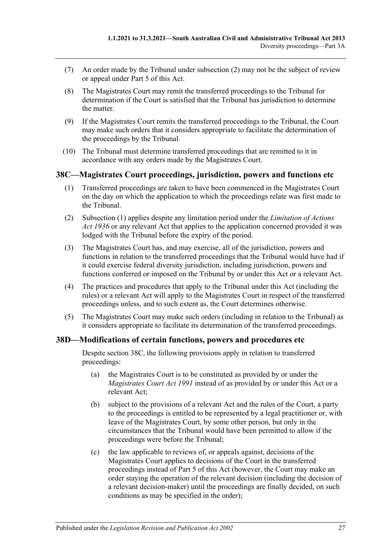- (7) An order made by the Tribunal under [subsection](#page-25-3) (2) may not be the subject of review or appeal under [Part](#page-41-4) 5 of this Act.
- (8) The Magistrates Court may remit the transferred proceedings to the Tribunal for determination if the Court is satisfied that the Tribunal has jurisdiction to determine the matter.
- (9) If the Magistrates Court remits the transferred proceedings to the Tribunal, the Court may make such orders that it considers appropriate to facilitate the determination of the proceedings by the Tribunal.
- (10) The Tribunal must determine transferred proceedings that are remitted to it in accordance with any orders made by the Magistrates Court.

### <span id="page-26-2"></span><span id="page-26-0"></span>**38C—Magistrates Court proceedings, jurisdiction, powers and functions etc**

- (1) Transferred proceedings are taken to have been commenced in the Magistrates Court on the day on which the application to which the proceedings relate was first made to the Tribunal.
- (2) [Subsection](#page-26-2) (1) applies despite any limitation period under the *[Limitation of Actions](http://www.legislation.sa.gov.au/index.aspx?action=legref&type=act&legtitle=Limitation%20of%20Actions%20Act%201936)  Act [1936](http://www.legislation.sa.gov.au/index.aspx?action=legref&type=act&legtitle=Limitation%20of%20Actions%20Act%201936)* or any relevant Act that applies to the application concerned provided it was lodged with the Tribunal before the expiry of the period.
- (3) The Magistrates Court has, and may exercise, all of the jurisdiction, powers and functions in relation to the transferred proceedings that the Tribunal would have had if it could exercise federal diversity jurisdiction, including jurisdiction, powers and functions conferred or imposed on the Tribunal by or under this Act or a relevant Act.
- (4) The practices and procedures that apply to the Tribunal under this Act (including the rules) or a relevant Act will apply to the Magistrates Court in respect of the transferred proceedings unless, and to such extent as, the Court determines otherwise.
- (5) The Magistrates Court may make such orders (including in relation to the Tribunal) as it considers appropriate to facilitate its determination of the transferred proceedings.

### <span id="page-26-1"></span>**38D—Modifications of certain functions, powers and procedures etc**

Despite [section](#page-26-0) 38C, the following provisions apply in relation to transferred proceedings:

- (a) the Magistrates Court is to be constituted as provided by or under the *[Magistrates Court Act](http://www.legislation.sa.gov.au/index.aspx?action=legref&type=act&legtitle=Magistrates%20Court%20Act%201991) 1991* instead of as provided by or under this Act or a relevant Act;
- (b) subject to the provisions of a relevant Act and the rules of the Court, a party to the proceedings is entitled to be represented by a legal practitioner or, with leave of the Magistrates Court, by some other person, but only in the circumstances that the Tribunal would have been permitted to allow if the proceedings were before the Tribunal;
- (c) the law applicable to reviews of, or appeals against, decisions of the Magistrates Court applies to decisions of the Court in the transferred proceedings instead of [Part](#page-41-4) 5 of this Act (however, the Court may make an order staying the operation of the relevant decision (including the decision of a relevant decision-maker) until the proceedings are finally decided, on such conditions as may be specified in the order);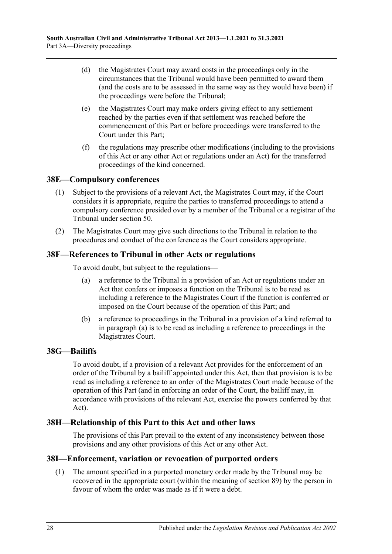- (d) the Magistrates Court may award costs in the proceedings only in the circumstances that the Tribunal would have been permitted to award them (and the costs are to be assessed in the same way as they would have been) if the proceedings were before the Tribunal;
- (e) the Magistrates Court may make orders giving effect to any settlement reached by the parties even if that settlement was reached before the commencement of this Part or before proceedings were transferred to the Court under this Part;
- (f) the regulations may prescribe other modifications (including to the provisions of this Act or any other Act or regulations under an Act) for the transferred proceedings of the kind concerned.

# <span id="page-27-0"></span>**38E—Compulsory conferences**

- (1) Subject to the provisions of a relevant Act, the Magistrates Court may, if the Court considers it is appropriate, require the parties to transferred proceedings to attend a compulsory conference presided over by a member of the Tribunal or a registrar of the Tribunal under [section](#page-33-1) 50.
- (2) The Magistrates Court may give such directions to the Tribunal in relation to the procedures and conduct of the conference as the Court considers appropriate.

### <span id="page-27-5"></span><span id="page-27-1"></span>**38F—References to Tribunal in other Acts or regulations**

To avoid doubt, but subject to the regulations—

- (a) a reference to the Tribunal in a provision of an Act or regulations under an Act that confers or imposes a function on the Tribunal is to be read as including a reference to the Magistrates Court if the function is conferred or imposed on the Court because of the operation of this Part; and
- (b) a reference to proceedings in the Tribunal in a provision of a kind referred to in [paragraph](#page-27-5) (a) is to be read as including a reference to proceedings in the Magistrates Court.

### <span id="page-27-2"></span>**38G—Bailiffs**

To avoid doubt, if a provision of a relevant Act provides for the enforcement of an order of the Tribunal by a bailiff appointed under this Act, then that provision is to be read as including a reference to an order of the Magistrates Court made because of the operation of this Part (and in enforcing an order of the Court, the bailiff may, in accordance with provisions of the relevant Act, exercise the powers conferred by that Act).

### <span id="page-27-3"></span>**38H—Relationship of this Part to this Act and other laws**

The provisions of this Part prevail to the extent of any inconsistency between those provisions and any other provisions of this Act or any other Act.

### <span id="page-27-4"></span>**38I—Enforcement, variation or revocation of purported orders**

(1) The amount specified in a purported monetary order made by the Tribunal may be recovered in the appropriate court (within the meaning of [section](#page-49-1) 89) by the person in favour of whom the order was made as if it were a debt.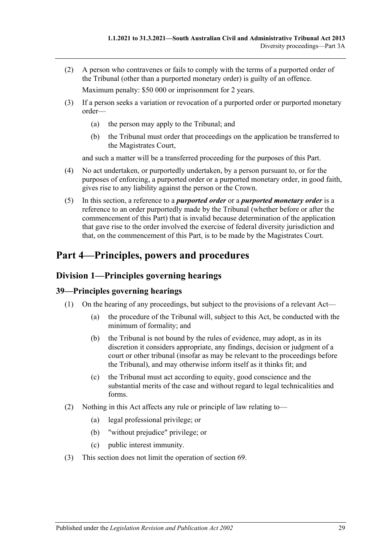(2) A person who contravenes or fails to comply with the terms of a purported order of the Tribunal (other than a purported monetary order) is guilty of an offence.

Maximum penalty: \$50 000 or imprisonment for 2 years.

- (3) If a person seeks a variation or revocation of a purported order or purported monetary order—
	- (a) the person may apply to the Tribunal; and
	- (b) the Tribunal must order that proceedings on the application be transferred to the Magistrates Court,

and such a matter will be a transferred proceeding for the purposes of this Part.

- (4) No act undertaken, or purportedly undertaken, by a person pursuant to, or for the purposes of enforcing, a purported order or a purported monetary order, in good faith, gives rise to any liability against the person or the Crown.
- (5) In this section, a reference to a *purported order* or a *purported monetary order* is a reference to an order purportedly made by the Tribunal (whether before or after the commencement of this Part) that is invalid because determination of the application that gave rise to the order involved the exercise of federal diversity jurisdiction and that, on the commencement of this Part, is to be made by the Magistrates Court.

# <span id="page-28-0"></span>**Part 4—Principles, powers and procedures**

# <span id="page-28-1"></span>**Division 1—Principles governing hearings**

# <span id="page-28-2"></span>**39—Principles governing hearings**

- (1) On the hearing of any proceedings, but subject to the provisions of a relevant Act—
	- (a) the procedure of the Tribunal will, subject to this Act, be conducted with the minimum of formality; and
	- (b) the Tribunal is not bound by the rules of evidence, may adopt, as in its discretion it considers appropriate, any findings, decision or judgment of a court or other tribunal (insofar as may be relevant to the proceedings before the Tribunal), and may otherwise inform itself as it thinks fit; and
	- (c) the Tribunal must act according to equity, good conscience and the substantial merits of the case and without regard to legal technicalities and forms.
- (2) Nothing in this Act affects any rule or principle of law relating to—
	- (a) legal professional privilege; or
	- (b) "without prejudice" privilege; or
	- (c) public interest immunity.
- (3) This section does not limit the operation of [section](#page-41-3) 69.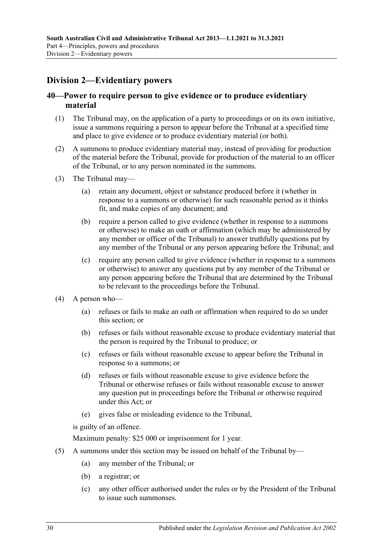# <span id="page-29-0"></span>**Division 2—Evidentiary powers**

# <span id="page-29-1"></span>**40—Power to require person to give evidence or to produce evidentiary material**

- (1) The Tribunal may, on the application of a party to proceedings or on its own initiative, issue a summons requiring a person to appear before the Tribunal at a specified time and place to give evidence or to produce evidentiary material (or both).
- (2) A summons to produce evidentiary material may, instead of providing for production of the material before the Tribunal, provide for production of the material to an officer of the Tribunal, or to any person nominated in the summons.
- (3) The Tribunal may—
	- (a) retain any document, object or substance produced before it (whether in response to a summons or otherwise) for such reasonable period as it thinks fit, and make copies of any document; and
	- (b) require a person called to give evidence (whether in response to a summons or otherwise) to make an oath or affirmation (which may be administered by any member or officer of the Tribunal) to answer truthfully questions put by any member of the Tribunal or any person appearing before the Tribunal; and
	- (c) require any person called to give evidence (whether in response to a summons or otherwise) to answer any questions put by any member of the Tribunal or any person appearing before the Tribunal that are determined by the Tribunal to be relevant to the proceedings before the Tribunal.
- (4) A person who—
	- (a) refuses or fails to make an oath or affirmation when required to do so under this section; or
	- (b) refuses or fails without reasonable excuse to produce evidentiary material that the person is required by the Tribunal to produce; or
	- (c) refuses or fails without reasonable excuse to appear before the Tribunal in response to a summons; or
	- (d) refuses or fails without reasonable excuse to give evidence before the Tribunal or otherwise refuses or fails without reasonable excuse to answer any question put in proceedings before the Tribunal or otherwise required under this Act; or
	- (e) gives false or misleading evidence to the Tribunal,

is guilty of an offence.

Maximum penalty: \$25 000 or imprisonment for 1 year.

- (5) A summons under this section may be issued on behalf of the Tribunal by—
	- (a) any member of the Tribunal; or
	- (b) a registrar; or
	- (c) any other officer authorised under the rules or by the President of the Tribunal to issue such summonses.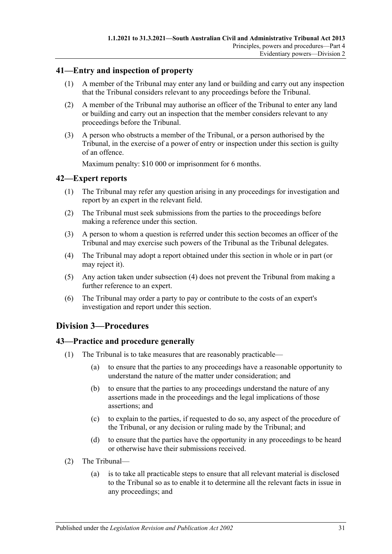### <span id="page-30-0"></span>**41—Entry and inspection of property**

- (1) A member of the Tribunal may enter any land or building and carry out any inspection that the Tribunal considers relevant to any proceedings before the Tribunal.
- (2) A member of the Tribunal may authorise an officer of the Tribunal to enter any land or building and carry out an inspection that the member considers relevant to any proceedings before the Tribunal.
- (3) A person who obstructs a member of the Tribunal, or a person authorised by the Tribunal, in the exercise of a power of entry or inspection under this section is guilty of an offence.

Maximum penalty: \$10 000 or imprisonment for 6 months.

### <span id="page-30-1"></span>**42—Expert reports**

- (1) The Tribunal may refer any question arising in any proceedings for investigation and report by an expert in the relevant field.
- (2) The Tribunal must seek submissions from the parties to the proceedings before making a reference under this section.
- (3) A person to whom a question is referred under this section becomes an officer of the Tribunal and may exercise such powers of the Tribunal as the Tribunal delegates.
- <span id="page-30-4"></span>(4) The Tribunal may adopt a report obtained under this section in whole or in part (or may reject it).
- (5) Any action taken under [subsection](#page-30-4) (4) does not prevent the Tribunal from making a further reference to an expert.
- (6) The Tribunal may order a party to pay or contribute to the costs of an expert's investigation and report under this section.

# <span id="page-30-2"></span>**Division 3—Procedures**

### <span id="page-30-3"></span>**43—Practice and procedure generally**

- (1) The Tribunal is to take measures that are reasonably practicable—
	- (a) to ensure that the parties to any proceedings have a reasonable opportunity to understand the nature of the matter under consideration; and
	- (b) to ensure that the parties to any proceedings understand the nature of any assertions made in the proceedings and the legal implications of those assertions; and
	- (c) to explain to the parties, if requested to do so, any aspect of the procedure of the Tribunal, or any decision or ruling made by the Tribunal; and
	- (d) to ensure that the parties have the opportunity in any proceedings to be heard or otherwise have their submissions received.
- (2) The Tribunal—
	- (a) is to take all practicable steps to ensure that all relevant material is disclosed to the Tribunal so as to enable it to determine all the relevant facts in issue in any proceedings; and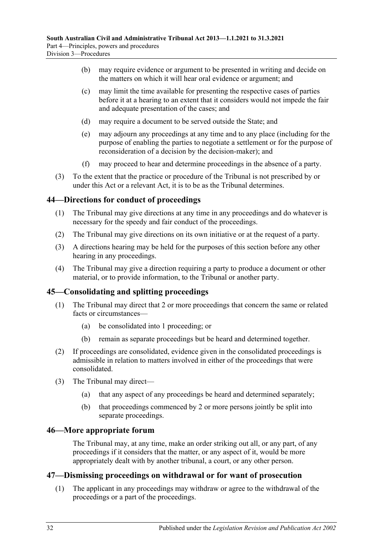- (b) may require evidence or argument to be presented in writing and decide on the matters on which it will hear oral evidence or argument; and
- (c) may limit the time available for presenting the respective cases of parties before it at a hearing to an extent that it considers would not impede the fair and adequate presentation of the cases; and
- (d) may require a document to be served outside the State; and
- (e) may adjourn any proceedings at any time and to any place (including for the purpose of enabling the parties to negotiate a settlement or for the purpose of reconsideration of a decision by the decision-maker); and
- (f) may proceed to hear and determine proceedings in the absence of a party.
- (3) To the extent that the practice or procedure of the Tribunal is not prescribed by or under this Act or a relevant Act, it is to be as the Tribunal determines.

### <span id="page-31-0"></span>**44—Directions for conduct of proceedings**

- (1) The Tribunal may give directions at any time in any proceedings and do whatever is necessary for the speedy and fair conduct of the proceedings.
- (2) The Tribunal may give directions on its own initiative or at the request of a party.
- (3) A directions hearing may be held for the purposes of this section before any other hearing in any proceedings.
- (4) The Tribunal may give a direction requiring a party to produce a document or other material, or to provide information, to the Tribunal or another party.

### <span id="page-31-1"></span>**45—Consolidating and splitting proceedings**

- (1) The Tribunal may direct that 2 or more proceedings that concern the same or related facts or circumstances—
	- (a) be consolidated into 1 proceeding; or
	- (b) remain as separate proceedings but be heard and determined together.
- (2) If proceedings are consolidated, evidence given in the consolidated proceedings is admissible in relation to matters involved in either of the proceedings that were consolidated.
- (3) The Tribunal may direct—
	- (a) that any aspect of any proceedings be heard and determined separately;
	- (b) that proceedings commenced by 2 or more persons jointly be split into separate proceedings.

### <span id="page-31-2"></span>**46—More appropriate forum**

The Tribunal may, at any time, make an order striking out all, or any part, of any proceedings if it considers that the matter, or any aspect of it, would be more appropriately dealt with by another tribunal, a court, or any other person.

### <span id="page-31-4"></span><span id="page-31-3"></span>**47—Dismissing proceedings on withdrawal or for want of prosecution**

(1) The applicant in any proceedings may withdraw or agree to the withdrawal of the proceedings or a part of the proceedings.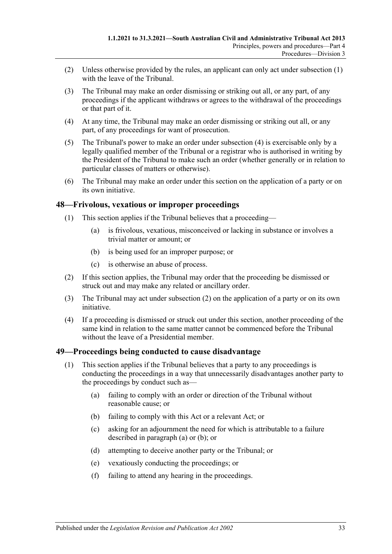- (2) Unless otherwise provided by the rules, an applicant can only act under [subsection](#page-31-4) (1) with the leave of the Tribunal.
- (3) The Tribunal may make an order dismissing or striking out all, or any part, of any proceedings if the applicant withdraws or agrees to the withdrawal of the proceedings or that part of it.
- <span id="page-32-2"></span>(4) At any time, the Tribunal may make an order dismissing or striking out all, or any part, of any proceedings for want of prosecution.
- (5) The Tribunal's power to make an order under [subsection](#page-32-2) (4) is exercisable only by a legally qualified member of the Tribunal or a registrar who is authorised in writing by the President of the Tribunal to make such an order (whether generally or in relation to particular classes of matters or otherwise).
- (6) The Tribunal may make an order under this section on the application of a party or on its own initiative.

### <span id="page-32-0"></span>**48—Frivolous, vexatious or improper proceedings**

- (1) This section applies if the Tribunal believes that a proceeding—
	- (a) is frivolous, vexatious, misconceived or lacking in substance or involves a trivial matter or amount; or
	- (b) is being used for an improper purpose; or
	- (c) is otherwise an abuse of process.
- <span id="page-32-3"></span>(2) If this section applies, the Tribunal may order that the proceeding be dismissed or struck out and may make any related or ancillary order.
- (3) The Tribunal may act under [subsection](#page-32-3) (2) on the application of a party or on its own initiative.
- (4) If a proceeding is dismissed or struck out under this section, another proceeding of the same kind in relation to the same matter cannot be commenced before the Tribunal without the leave of a Presidential member.

### <span id="page-32-1"></span>**49—Proceedings being conducted to cause disadvantage**

- <span id="page-32-5"></span><span id="page-32-4"></span>(1) This section applies if the Tribunal believes that a party to any proceedings is conducting the proceedings in a way that unnecessarily disadvantages another party to the proceedings by conduct such as—
	- (a) failing to comply with an order or direction of the Tribunal without reasonable cause; or
	- (b) failing to comply with this Act or a relevant Act; or
	- (c) asking for an adjournment the need for which is attributable to a failure described in [paragraph](#page-32-4) (a) or [\(b\);](#page-32-5) or
	- (d) attempting to deceive another party or the Tribunal; or
	- (e) vexatiously conducting the proceedings; or
	- (f) failing to attend any hearing in the proceedings.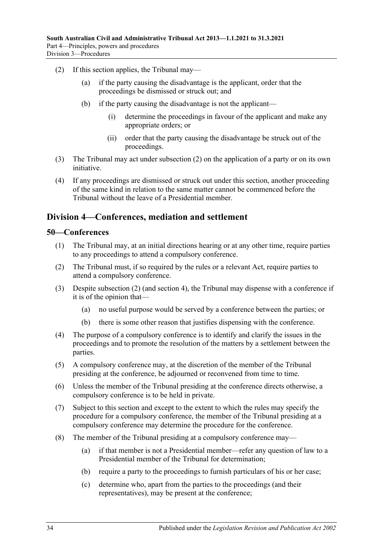- <span id="page-33-2"></span>(2) If this section applies, the Tribunal may—
	- (a) if the party causing the disadvantage is the applicant, order that the proceedings be dismissed or struck out; and
	- (b) if the party causing the disadvantage is not the applicant—
		- (i) determine the proceedings in favour of the applicant and make any appropriate orders; or
		- (ii) order that the party causing the disadvantage be struck out of the proceedings.
- (3) The Tribunal may act under [subsection](#page-33-2) (2) on the application of a party or on its own initiative.
- (4) If any proceedings are dismissed or struck out under this section, another proceeding of the same kind in relation to the same matter cannot be commenced before the Tribunal without the leave of a Presidential member.

# <span id="page-33-0"></span>**Division 4—Conferences, mediation and settlement**

### <span id="page-33-1"></span>**50—Conferences**

- (1) The Tribunal may, at an initial directions hearing or at any other time, require parties to any proceedings to attend a compulsory conference.
- <span id="page-33-3"></span>(2) The Tribunal must, if so required by the rules or a relevant Act, require parties to attend a compulsory conference.
- (3) Despite [subsection](#page-33-3) (2) (and [section](#page-6-0) 4), the Tribunal may dispense with a conference if it is of the opinion that—
	- (a) no useful purpose would be served by a conference between the parties; or
	- (b) there is some other reason that justifies dispensing with the conference.
- (4) The purpose of a compulsory conference is to identify and clarify the issues in the proceedings and to promote the resolution of the matters by a settlement between the parties.
- (5) A compulsory conference may, at the discretion of the member of the Tribunal presiding at the conference, be adjourned or reconvened from time to time.
- (6) Unless the member of the Tribunal presiding at the conference directs otherwise, a compulsory conference is to be held in private.
- (7) Subject to this section and except to the extent to which the rules may specify the procedure for a compulsory conference, the member of the Tribunal presiding at a compulsory conference may determine the procedure for the conference.
- <span id="page-33-4"></span>(8) The member of the Tribunal presiding at a compulsory conference may—
	- (a) if that member is not a Presidential member—refer any question of law to a Presidential member of the Tribunal for determination;
	- (b) require a party to the proceedings to furnish particulars of his or her case;
	- (c) determine who, apart from the parties to the proceedings (and their representatives), may be present at the conference;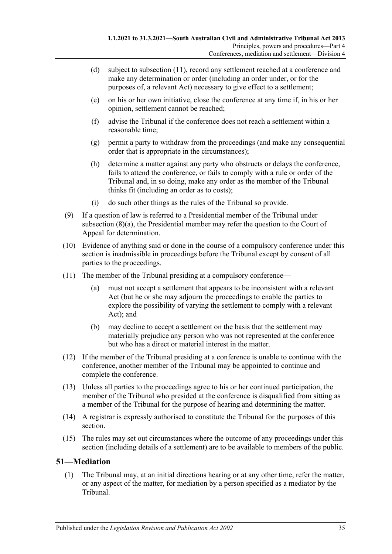- (d) subject to [subsection](#page-34-1) (11), record any settlement reached at a conference and make any determination or order (including an order under, or for the purposes of, a relevant Act) necessary to give effect to a settlement;
- (e) on his or her own initiative, close the conference at any time if, in his or her opinion, settlement cannot be reached;
- (f) advise the Tribunal if the conference does not reach a settlement within a reasonable time;
- (g) permit a party to withdraw from the proceedings (and make any consequential order that is appropriate in the circumstances);
- (h) determine a matter against any party who obstructs or delays the conference, fails to attend the conference, or fails to comply with a rule or order of the Tribunal and, in so doing, make any order as the member of the Tribunal thinks fit (including an order as to costs);
- (i) do such other things as the rules of the Tribunal so provide.
- (9) If a question of law is referred to a Presidential member of the Tribunal under [subsection](#page-33-4) (8)(a), the Presidential member may refer the question to the Court of Appeal for determination.
- (10) Evidence of anything said or done in the course of a compulsory conference under this section is inadmissible in proceedings before the Tribunal except by consent of all parties to the proceedings.
- <span id="page-34-1"></span>(11) The member of the Tribunal presiding at a compulsory conference
	- must not accept a settlement that appears to be inconsistent with a relevant Act (but he or she may adjourn the proceedings to enable the parties to explore the possibility of varying the settlement to comply with a relevant Act); and
	- (b) may decline to accept a settlement on the basis that the settlement may materially prejudice any person who was not represented at the conference but who has a direct or material interest in the matter.
- (12) If the member of the Tribunal presiding at a conference is unable to continue with the conference, another member of the Tribunal may be appointed to continue and complete the conference.
- (13) Unless all parties to the proceedings agree to his or her continued participation, the member of the Tribunal who presided at the conference is disqualified from sitting as a member of the Tribunal for the purpose of hearing and determining the matter.
- (14) A registrar is expressly authorised to constitute the Tribunal for the purposes of this section.
- (15) The rules may set out circumstances where the outcome of any proceedings under this section (including details of a settlement) are to be available to members of the public.

### <span id="page-34-0"></span>**51—Mediation**

(1) The Tribunal may, at an initial directions hearing or at any other time, refer the matter, or any aspect of the matter, for mediation by a person specified as a mediator by the Tribunal.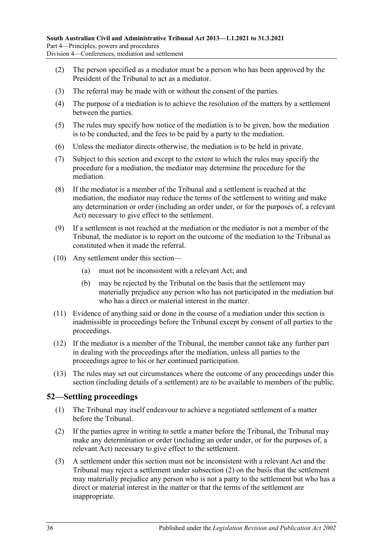- (2) The person specified as a mediator must be a person who has been approved by the President of the Tribunal to act as a mediator.
- (3) The referral may be made with or without the consent of the parties.
- (4) The purpose of a mediation is to achieve the resolution of the matters by a settlement between the parties.
- (5) The rules may specify how notice of the mediation is to be given, how the mediation is to be conducted, and the fees to be paid by a party to the mediation.
- (6) Unless the mediator directs otherwise, the mediation is to be held in private.
- (7) Subject to this section and except to the extent to which the rules may specify the procedure for a mediation, the mediator may determine the procedure for the mediation.
- (8) If the mediator is a member of the Tribunal and a settlement is reached at the mediation, the mediator may reduce the terms of the settlement to writing and make any determination or order (including an order under, or for the purposes of, a relevant Act) necessary to give effect to the settlement.
- (9) If a settlement is not reached at the mediation or the mediator is not a member of the Tribunal, the mediator is to report on the outcome of the mediation to the Tribunal as constituted when it made the referral.
- (10) Any settlement under this section—
	- (a) must not be inconsistent with a relevant Act; and
	- (b) may be rejected by the Tribunal on the basis that the settlement may materially prejudice any person who has not participated in the mediation but who has a direct or material interest in the matter.
- (11) Evidence of anything said or done in the course of a mediation under this section is inadmissible in proceedings before the Tribunal except by consent of all parties to the proceedings.
- (12) If the mediator is a member of the Tribunal, the member cannot take any further part in dealing with the proceedings after the mediation, unless all parties to the proceedings agree to his or her continued participation.
- (13) The rules may set out circumstances where the outcome of any proceedings under this section (including details of a settlement) are to be available to members of the public.

### <span id="page-35-0"></span>**52—Settling proceedings**

- (1) The Tribunal may itself endeavour to achieve a negotiated settlement of a matter before the Tribunal.
- <span id="page-35-1"></span>(2) If the parties agree in writing to settle a matter before the Tribunal, the Tribunal may make any determination or order (including an order under, or for the purposes of, a relevant Act) necessary to give effect to the settlement.
- (3) A settlement under this section must not be inconsistent with a relevant Act and the Tribunal may reject a settlement under [subsection](#page-35-1) (2) on the basis that the settlement may materially prejudice any person who is not a party to the settlement but who has a direct or material interest in the matter or that the terms of the settlement are inappropriate.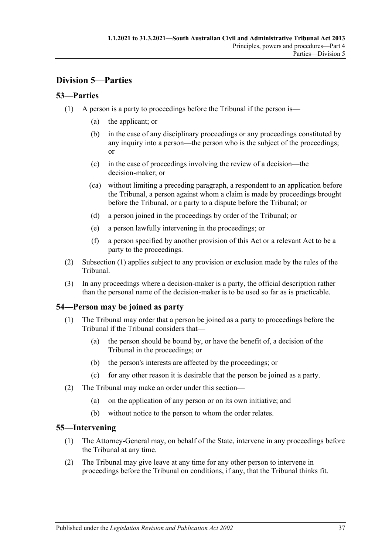# <span id="page-36-0"></span>**Division 5—Parties**

# <span id="page-36-4"></span><span id="page-36-1"></span>**53—Parties**

- (1) A person is a party to proceedings before the Tribunal if the person is—
	- (a) the applicant; or
	- (b) in the case of any disciplinary proceedings or any proceedings constituted by any inquiry into a person—the person who is the subject of the proceedings; or
	- (c) in the case of proceedings involving the review of a decision—the decision-maker; or
	- (ca) without limiting a preceding paragraph, a respondent to an application before the Tribunal, a person against whom a claim is made by proceedings brought before the Tribunal, or a party to a dispute before the Tribunal; or
	- (d) a person joined in the proceedings by order of the Tribunal; or
	- (e) a person lawfully intervening in the proceedings; or
	- (f) a person specified by another provision of this Act or a relevant Act to be a party to the proceedings.
- (2) [Subsection](#page-36-4) (1) applies subject to any provision or exclusion made by the rules of the Tribunal.
- (3) In any proceedings where a decision-maker is a party, the official description rather than the personal name of the decision-maker is to be used so far as is practicable.

# <span id="page-36-2"></span>**54—Person may be joined as party**

- (1) The Tribunal may order that a person be joined as a party to proceedings before the Tribunal if the Tribunal considers that—
	- (a) the person should be bound by, or have the benefit of, a decision of the Tribunal in the proceedings; or
	- (b) the person's interests are affected by the proceedings; or
	- (c) for any other reason it is desirable that the person be joined as a party.
- (2) The Tribunal may make an order under this section—
	- (a) on the application of any person or on its own initiative; and
	- (b) without notice to the person to whom the order relates.

# <span id="page-36-3"></span>**55—Intervening**

- (1) The Attorney-General may, on behalf of the State, intervene in any proceedings before the Tribunal at any time.
- (2) The Tribunal may give leave at any time for any other person to intervene in proceedings before the Tribunal on conditions, if any, that the Tribunal thinks fit.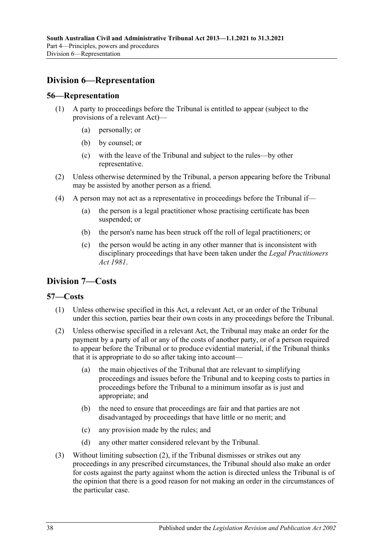# <span id="page-37-0"></span>**Division 6—Representation**

### <span id="page-37-1"></span>**56—Representation**

- (1) A party to proceedings before the Tribunal is entitled to appear (subject to the provisions of a relevant Act)—
	- (a) personally; or
	- (b) by counsel; or
	- (c) with the leave of the Tribunal and subject to the rules—by other representative.
- (2) Unless otherwise determined by the Tribunal, a person appearing before the Tribunal may be assisted by another person as a friend.
- (4) A person may not act as a representative in proceedings before the Tribunal if—
	- (a) the person is a legal practitioner whose practising certificate has been suspended; or
	- (b) the person's name has been struck off the roll of legal practitioners; or
	- (c) the person would be acting in any other manner that is inconsistent with disciplinary proceedings that have been taken under the *[Legal Practitioners](http://www.legislation.sa.gov.au/index.aspx?action=legref&type=act&legtitle=Legal%20Practitioners%20Act%201981)  Act [1981](http://www.legislation.sa.gov.au/index.aspx?action=legref&type=act&legtitle=Legal%20Practitioners%20Act%201981)*.

# <span id="page-37-2"></span>**Division 7—Costs**

### <span id="page-37-3"></span>**57—Costs**

- (1) Unless otherwise specified in this Act, a relevant Act, or an order of the Tribunal under this section, parties bear their own costs in any proceedings before the Tribunal.
- <span id="page-37-4"></span>(2) Unless otherwise specified in a relevant Act, the Tribunal may make an order for the payment by a party of all or any of the costs of another party, or of a person required to appear before the Tribunal or to produce evidential material, if the Tribunal thinks that it is appropriate to do so after taking into account—
	- (a) the main objectives of the Tribunal that are relevant to simplifying proceedings and issues before the Tribunal and to keeping costs to parties in proceedings before the Tribunal to a minimum insofar as is just and appropriate; and
	- (b) the need to ensure that proceedings are fair and that parties are not disadvantaged by proceedings that have little or no merit; and
	- (c) any provision made by the rules; and
	- (d) any other matter considered relevant by the Tribunal.
- (3) Without limiting [subsection](#page-37-4) (2), if the Tribunal dismisses or strikes out any proceedings in any prescribed circumstances, the Tribunal should also make an order for costs against the party against whom the action is directed unless the Tribunal is of the opinion that there is a good reason for not making an order in the circumstances of the particular case.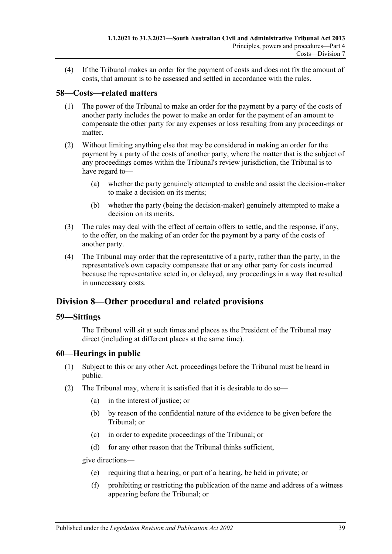(4) If the Tribunal makes an order for the payment of costs and does not fix the amount of costs, that amount is to be assessed and settled in accordance with the rules.

# <span id="page-38-0"></span>**58—Costs—related matters**

- (1) The power of the Tribunal to make an order for the payment by a party of the costs of another party includes the power to make an order for the payment of an amount to compensate the other party for any expenses or loss resulting from any proceedings or matter.
- (2) Without limiting anything else that may be considered in making an order for the payment by a party of the costs of another party, where the matter that is the subject of any proceedings comes within the Tribunal's review jurisdiction, the Tribunal is to have regard to—
	- (a) whether the party genuinely attempted to enable and assist the decision-maker to make a decision on its merits;
	- (b) whether the party (being the decision-maker) genuinely attempted to make a decision on its merits.
- (3) The rules may deal with the effect of certain offers to settle, and the response, if any, to the offer, on the making of an order for the payment by a party of the costs of another party.
- (4) The Tribunal may order that the representative of a party, rather than the party, in the representative's own capacity compensate that or any other party for costs incurred because the representative acted in, or delayed, any proceedings in a way that resulted in unnecessary costs.

# <span id="page-38-1"></span>**Division 8—Other procedural and related provisions**

### <span id="page-38-2"></span>**59—Sittings**

The Tribunal will sit at such times and places as the President of the Tribunal may direct (including at different places at the same time).

### <span id="page-38-3"></span>**60—Hearings in public**

- (1) Subject to this or any other Act, proceedings before the Tribunal must be heard in public.
- <span id="page-38-4"></span>(2) The Tribunal may, where it is satisfied that it is desirable to do so—
	- (a) in the interest of justice; or
	- (b) by reason of the confidential nature of the evidence to be given before the Tribunal; or
	- (c) in order to expedite proceedings of the Tribunal; or
	- (d) for any other reason that the Tribunal thinks sufficient,

give directions—

- (e) requiring that a hearing, or part of a hearing, be held in private; or
- (f) prohibiting or restricting the publication of the name and address of a witness appearing before the Tribunal; or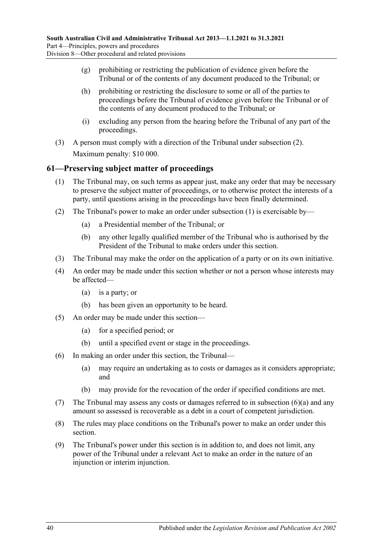- (g) prohibiting or restricting the publication of evidence given before the Tribunal or of the contents of any document produced to the Tribunal; or
- (h) prohibiting or restricting the disclosure to some or all of the parties to proceedings before the Tribunal of evidence given before the Tribunal or of the contents of any document produced to the Tribunal; or
- (i) excluding any person from the hearing before the Tribunal of any part of the proceedings.
- (3) A person must comply with a direction of the Tribunal under [subsection](#page-38-4) (2). Maximum penalty: \$10 000.

# <span id="page-39-1"></span><span id="page-39-0"></span>**61—Preserving subject matter of proceedings**

- (1) The Tribunal may, on such terms as appear just, make any order that may be necessary to preserve the subject matter of proceedings, or to otherwise protect the interests of a party, until questions arising in the proceedings have been finally determined.
- (2) The Tribunal's power to make an order under [subsection](#page-39-1) (1) is exercisable by—
	- (a) a Presidential member of the Tribunal; or
	- (b) any other legally qualified member of the Tribunal who is authorised by the President of the Tribunal to make orders under this section.
- (3) The Tribunal may make the order on the application of a party or on its own initiative.
- (4) An order may be made under this section whether or not a person whose interests may be affected—
	- (a) is a party; or
	- (b) has been given an opportunity to be heard.
- (5) An order may be made under this section—
	- (a) for a specified period; or
	- (b) until a specified event or stage in the proceedings.
- <span id="page-39-2"></span>(6) In making an order under this section, the Tribunal—
	- (a) may require an undertaking as to costs or damages as it considers appropriate; and
	- (b) may provide for the revocation of the order if specified conditions are met.
- (7) The Tribunal may assess any costs or damages referred to in [subsection](#page-39-2) (6)(a) and any amount so assessed is recoverable as a debt in a court of competent jurisdiction.
- (8) The rules may place conditions on the Tribunal's power to make an order under this section.
- (9) The Tribunal's power under this section is in addition to, and does not limit, any power of the Tribunal under a relevant Act to make an order in the nature of an injunction or interim injunction.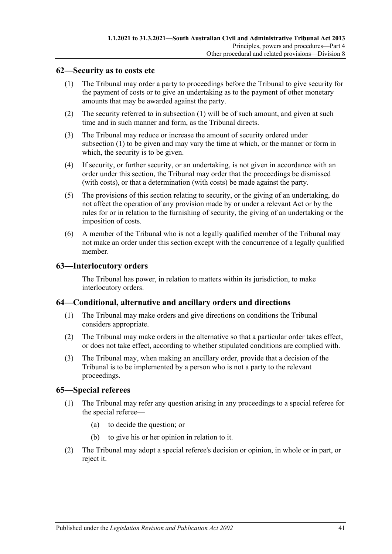### <span id="page-40-4"></span><span id="page-40-0"></span>**62—Security as to costs etc**

- (1) The Tribunal may order a party to proceedings before the Tribunal to give security for the payment of costs or to give an undertaking as to the payment of other monetary amounts that may be awarded against the party.
- (2) The security referred to in [subsection](#page-40-4) (1) will be of such amount, and given at such time and in such manner and form, as the Tribunal directs.
- (3) The Tribunal may reduce or increase the amount of security ordered under [subsection](#page-40-4) (1) to be given and may vary the time at which, or the manner or form in which, the security is to be given.
- (4) If security, or further security, or an undertaking, is not given in accordance with an order under this section, the Tribunal may order that the proceedings be dismissed (with costs), or that a determination (with costs) be made against the party.
- (5) The provisions of this section relating to security, or the giving of an undertaking, do not affect the operation of any provision made by or under a relevant Act or by the rules for or in relation to the furnishing of security, the giving of an undertaking or the imposition of costs.
- (6) A member of the Tribunal who is not a legally qualified member of the Tribunal may not make an order under this section except with the concurrence of a legally qualified member.

### <span id="page-40-1"></span>**63—Interlocutory orders**

The Tribunal has power, in relation to matters within its jurisdiction, to make interlocutory orders.

### <span id="page-40-2"></span>**64—Conditional, alternative and ancillary orders and directions**

- (1) The Tribunal may make orders and give directions on conditions the Tribunal considers appropriate.
- (2) The Tribunal may make orders in the alternative so that a particular order takes effect, or does not take effect, according to whether stipulated conditions are complied with.
- (3) The Tribunal may, when making an ancillary order, provide that a decision of the Tribunal is to be implemented by a person who is not a party to the relevant proceedings.

### <span id="page-40-3"></span>**65—Special referees**

- (1) The Tribunal may refer any question arising in any proceedings to a special referee for the special referee—
	- (a) to decide the question; or
	- (b) to give his or her opinion in relation to it.
- (2) The Tribunal may adopt a special referee's decision or opinion, in whole or in part, or reject it.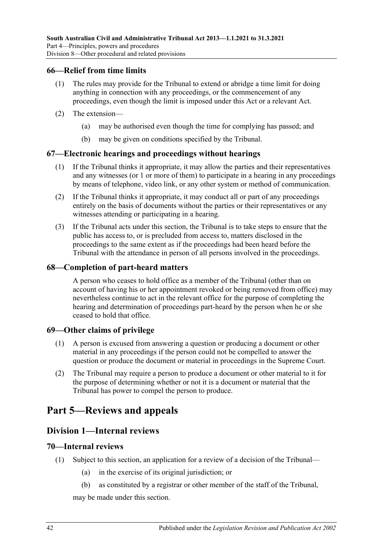### <span id="page-41-0"></span>**66—Relief from time limits**

- (1) The rules may provide for the Tribunal to extend or abridge a time limit for doing anything in connection with any proceedings, or the commencement of any proceedings, even though the limit is imposed under this Act or a relevant Act.
- (2) The extension—
	- (a) may be authorised even though the time for complying has passed; and
	- (b) may be given on conditions specified by the Tribunal.

### <span id="page-41-1"></span>**67—Electronic hearings and proceedings without hearings**

- (1) If the Tribunal thinks it appropriate, it may allow the parties and their representatives and any witnesses (or 1 or more of them) to participate in a hearing in any proceedings by means of telephone, video link, or any other system or method of communication.
- (2) If the Tribunal thinks it appropriate, it may conduct all or part of any proceedings entirely on the basis of documents without the parties or their representatives or any witnesses attending or participating in a hearing.
- (3) If the Tribunal acts under this section, the Tribunal is to take steps to ensure that the public has access to, or is precluded from access to, matters disclosed in the proceedings to the same extent as if the proceedings had been heard before the Tribunal with the attendance in person of all persons involved in the proceedings.

### <span id="page-41-2"></span>**68—Completion of part-heard matters**

A person who ceases to hold office as a member of the Tribunal (other than on account of having his or her appointment revoked or being removed from office) may nevertheless continue to act in the relevant office for the purpose of completing the hearing and determination of proceedings part-heard by the person when he or she ceased to hold that office.

### <span id="page-41-3"></span>**69—Other claims of privilege**

- (1) A person is excused from answering a question or producing a document or other material in any proceedings if the person could not be compelled to answer the question or produce the document or material in proceedings in the Supreme Court.
- (2) The Tribunal may require a person to produce a document or other material to it for the purpose of determining whether or not it is a document or material that the Tribunal has power to compel the person to produce.

# <span id="page-41-5"></span><span id="page-41-4"></span>**Part 5—Reviews and appeals**

# **Division 1—Internal reviews**

### <span id="page-41-6"></span>**70—Internal reviews**

- <span id="page-41-8"></span><span id="page-41-7"></span>(1) Subject to this section, an application for a review of a decision of the Tribunal—
	- (a) in the exercise of its original jurisdiction; or
	- (b) as constituted by a registrar or other member of the staff of the Tribunal,

may be made under this section.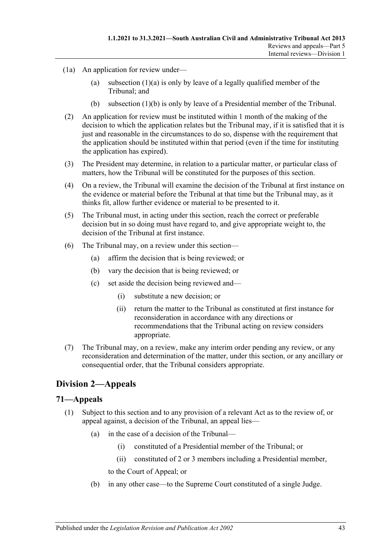- (1a) An application for review under
	- (a) [subsection](#page-41-7)  $(1)(a)$  is only by leave of a legally qualified member of the Tribunal; and
	- (b) [subsection](#page-41-8) (1)(b) is only by leave of a Presidential member of the Tribunal.
- (2) An application for review must be instituted within 1 month of the making of the decision to which the application relates but the Tribunal may, if it is satisfied that it is just and reasonable in the circumstances to do so, dispense with the requirement that the application should be instituted within that period (even if the time for instituting the application has expired).
- (3) The President may determine, in relation to a particular matter, or particular class of matters, how the Tribunal will be constituted for the purposes of this section.
- (4) On a review, the Tribunal will examine the decision of the Tribunal at first instance on the evidence or material before the Tribunal at that time but the Tribunal may, as it thinks fit, allow further evidence or material to be presented to it.
- (5) The Tribunal must, in acting under this section, reach the correct or preferable decision but in so doing must have regard to, and give appropriate weight to, the decision of the Tribunal at first instance.
- (6) The Tribunal may, on a review under this section—
	- (a) affirm the decision that is being reviewed; or
	- (b) vary the decision that is being reviewed; or
	- (c) set aside the decision being reviewed and—
		- (i) substitute a new decision; or
		- (ii) return the matter to the Tribunal as constituted at first instance for reconsideration in accordance with any directions or recommendations that the Tribunal acting on review considers appropriate.
- (7) The Tribunal may, on a review, make any interim order pending any review, or any reconsideration and determination of the matter, under this section, or any ancillary or consequential order, that the Tribunal considers appropriate.

# <span id="page-42-0"></span>**Division 2—Appeals**

### <span id="page-42-2"></span><span id="page-42-1"></span>**71—Appeals**

- (1) Subject to this section and to any provision of a relevant Act as to the review of, or appeal against, a decision of the Tribunal, an appeal lies—
	- (a) in the case of a decision of the Tribunal—
		- (i) constituted of a Presidential member of the Tribunal; or
		- (ii) constituted of 2 or 3 members including a Presidential member,
		- to the Court of Appeal; or
	- (b) in any other case—to the Supreme Court constituted of a single Judge.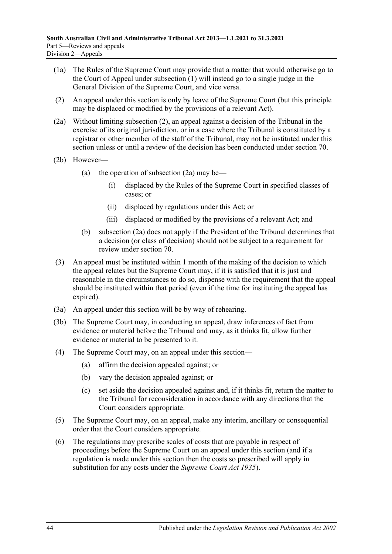- (1a) The Rules of the Supreme Court may provide that a matter that would otherwise go to the Court of Appeal under [subsection](#page-42-2) (1) will instead go to a single judge in the General Division of the Supreme Court, and vice versa.
- <span id="page-43-0"></span>(2) An appeal under this section is only by leave of the Supreme Court (but this principle may be displaced or modified by the provisions of a relevant Act).
- <span id="page-43-1"></span>(2a) Without limiting [subsection](#page-43-0) (2), an appeal against a decision of the Tribunal in the exercise of its original jurisdiction, or in a case where the Tribunal is constituted by a registrar or other member of the staff of the Tribunal, may not be instituted under this section unless or until a review of the decision has been conducted under [section](#page-41-6) 70.
- (2b) However
	- (a) the operation of [subsection](#page-43-1)  $(2a)$  may be—
		- (i) displaced by the Rules of the Supreme Court in specified classes of cases; or
		- (ii) displaced by regulations under this Act; or
		- (iii) displaced or modified by the provisions of a relevant Act; and
	- (b) [subsection](#page-43-1) (2a) does not apply if the President of the Tribunal determines that a decision (or class of decision) should not be subject to a requirement for review under [section](#page-41-6) 70.
- (3) An appeal must be instituted within 1 month of the making of the decision to which the appeal relates but the Supreme Court may, if it is satisfied that it is just and reasonable in the circumstances to do so, dispense with the requirement that the appeal should be instituted within that period (even if the time for instituting the appeal has expired).
- (3a) An appeal under this section will be by way of rehearing.
- (3b) The Supreme Court may, in conducting an appeal, draw inferences of fact from evidence or material before the Tribunal and may, as it thinks fit, allow further evidence or material to be presented to it.
- (4) The Supreme Court may, on an appeal under this section—
	- (a) affirm the decision appealed against; or
	- (b) vary the decision appealed against; or
	- (c) set aside the decision appealed against and, if it thinks fit, return the matter to the Tribunal for reconsideration in accordance with any directions that the Court considers appropriate.
- (5) The Supreme Court may, on an appeal, make any interim, ancillary or consequential order that the Court considers appropriate.
- (6) The regulations may prescribe scales of costs that are payable in respect of proceedings before the Supreme Court on an appeal under this section (and if a regulation is made under this section then the costs so prescribed will apply in substitution for any costs under the *[Supreme Court Act](http://www.legislation.sa.gov.au/index.aspx?action=legref&type=act&legtitle=Supreme%20Court%20Act%201935) 1935*).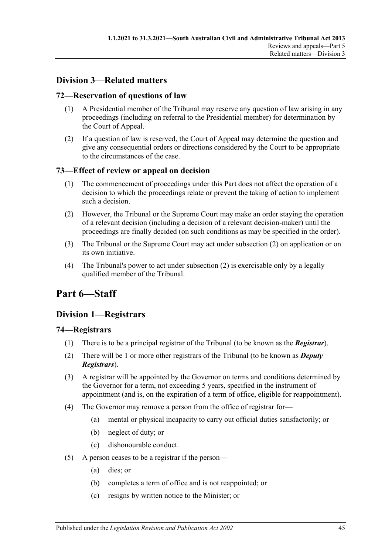# <span id="page-44-0"></span>**Division 3—Related matters**

# <span id="page-44-1"></span>**72—Reservation of questions of law**

- (1) A Presidential member of the Tribunal may reserve any question of law arising in any proceedings (including on referral to the Presidential member) for determination by the Court of Appeal.
- (2) If a question of law is reserved, the Court of Appeal may determine the question and give any consequential orders or directions considered by the Court to be appropriate to the circumstances of the case.

# <span id="page-44-2"></span>**73—Effect of review or appeal on decision**

- (1) The commencement of proceedings under this Part does not affect the operation of a decision to which the proceedings relate or prevent the taking of action to implement such a decision.
- <span id="page-44-6"></span>(2) However, the Tribunal or the Supreme Court may make an order staying the operation of a relevant decision (including a decision of a relevant decision-maker) until the proceedings are finally decided (on such conditions as may be specified in the order).
- (3) The Tribunal or the Supreme Court may act under [subsection](#page-44-6) (2) on application or on its own initiative.
- (4) The Tribunal's power to act under [subsection](#page-44-6) (2) is exercisable only by a legally qualified member of the Tribunal.

# <span id="page-44-3"></span>**Part 6—Staff**

# <span id="page-44-4"></span>**Division 1—Registrars**

### <span id="page-44-5"></span>**74—Registrars**

- (1) There is to be a principal registrar of the Tribunal (to be known as the *Registrar*).
- (2) There will be 1 or more other registrars of the Tribunal (to be known as *Deputy Registrars*).
- (3) A registrar will be appointed by the Governor on terms and conditions determined by the Governor for a term, not exceeding 5 years, specified in the instrument of appointment (and is, on the expiration of a term of office, eligible for reappointment).
- <span id="page-44-7"></span>(4) The Governor may remove a person from the office of registrar for—
	- (a) mental or physical incapacity to carry out official duties satisfactorily; or
	- (b) neglect of duty; or
	- (c) dishonourable conduct.
- (5) A person ceases to be a registrar if the person—
	- (a) dies; or
	- (b) completes a term of office and is not reappointed; or
	- (c) resigns by written notice to the Minister; or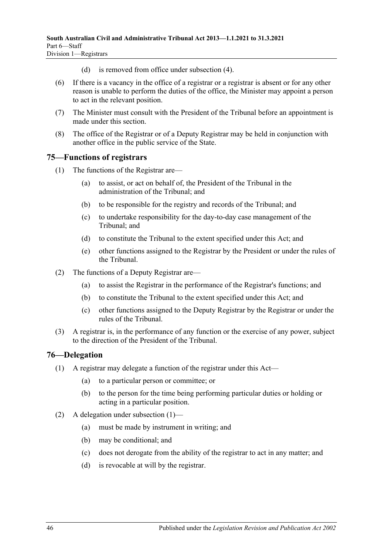- (d) is removed from office under [subsection](#page-44-7) (4).
- (6) If there is a vacancy in the office of a registrar or a registrar is absent or for any other reason is unable to perform the duties of the office, the Minister may appoint a person to act in the relevant position.
- (7) The Minister must consult with the President of the Tribunal before an appointment is made under this section.
- (8) The office of the Registrar or of a Deputy Registrar may be held in conjunction with another office in the public service of the State.

### <span id="page-45-0"></span>**75—Functions of registrars**

- (1) The functions of the Registrar are—
	- (a) to assist, or act on behalf of, the President of the Tribunal in the administration of the Tribunal; and
	- (b) to be responsible for the registry and records of the Tribunal; and
	- (c) to undertake responsibility for the day-to-day case management of the Tribunal; and
	- (d) to constitute the Tribunal to the extent specified under this Act; and
	- (e) other functions assigned to the Registrar by the President or under the rules of the Tribunal.
- (2) The functions of a Deputy Registrar are—
	- (a) to assist the Registrar in the performance of the Registrar's functions; and
	- (b) to constitute the Tribunal to the extent specified under this Act; and
	- (c) other functions assigned to the Deputy Registrar by the Registrar or under the rules of the Tribunal.
- (3) A registrar is, in the performance of any function or the exercise of any power, subject to the direction of the President of the Tribunal.

### <span id="page-45-2"></span><span id="page-45-1"></span>**76—Delegation**

- (1) A registrar may delegate a function of the registrar under this Act—
	- (a) to a particular person or committee; or
	- (b) to the person for the time being performing particular duties or holding or acting in a particular position.
- (2) A delegation under [subsection](#page-45-2) (1)—
	- (a) must be made by instrument in writing; and
	- (b) may be conditional; and
	- (c) does not derogate from the ability of the registrar to act in any matter; and
	- (d) is revocable at will by the registrar.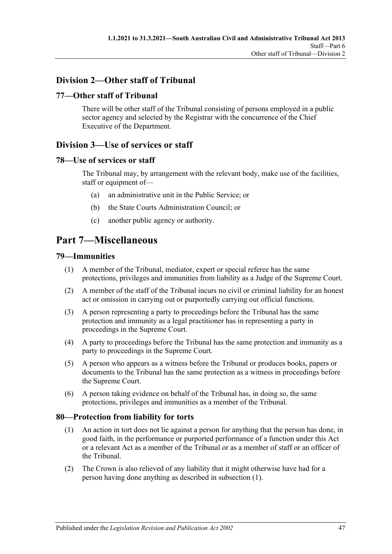# <span id="page-46-0"></span>**Division 2—Other staff of Tribunal**

# <span id="page-46-1"></span>**77—Other staff of Tribunal**

There will be other staff of the Tribunal consisting of persons employed in a public sector agency and selected by the Registrar with the concurrence of the Chief Executive of the Department.

# <span id="page-46-2"></span>**Division 3—Use of services or staff**

# <span id="page-46-3"></span>**78—Use of services or staff**

The Tribunal may, by arrangement with the relevant body, make use of the facilities, staff or equipment of—

- (a) an administrative unit in the Public Service; or
- (b) the State Courts Administration Council; or
- (c) another public agency or authority.

# <span id="page-46-4"></span>**Part 7—Miscellaneous**

### <span id="page-46-5"></span>**79—Immunities**

- (1) A member of the Tribunal, mediator, expert or special referee has the same protections, privileges and immunities from liability as a Judge of the Supreme Court.
- (2) A member of the staff of the Tribunal incurs no civil or criminal liability for an honest act or omission in carrying out or purportedly carrying out official functions.
- (3) A person representing a party to proceedings before the Tribunal has the same protection and immunity as a legal practitioner has in representing a party in proceedings in the Supreme Court.
- (4) A party to proceedings before the Tribunal has the same protection and immunity as a party to proceedings in the Supreme Court.
- (5) A person who appears as a witness before the Tribunal or produces books, papers or documents to the Tribunal has the same protection as a witness in proceedings before the Supreme Court.
- (6) A person taking evidence on behalf of the Tribunal has, in doing so, the same protections, privileges and immunities as a member of the Tribunal.

### <span id="page-46-7"></span><span id="page-46-6"></span>**80—Protection from liability for torts**

- (1) An action in tort does not lie against a person for anything that the person has done, in good faith, in the performance or purported performance of a function under this Act or a relevant Act as a member of the Tribunal or as a member of staff or an officer of the Tribunal.
- (2) The Crown is also relieved of any liability that it might otherwise have had for a person having done anything as described in [subsection](#page-46-7) (1).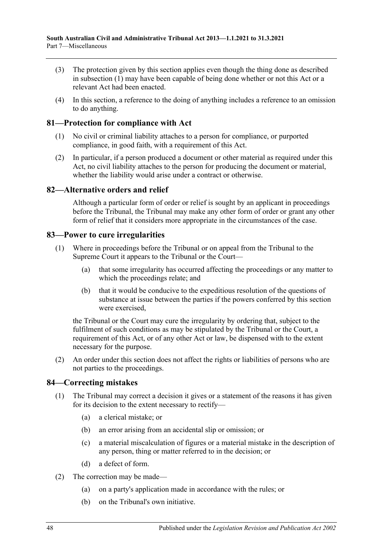- (3) The protection given by this section applies even though the thing done as described in [subsection](#page-46-7) (1) may have been capable of being done whether or not this Act or a relevant Act had been enacted.
- (4) In this section, a reference to the doing of anything includes a reference to an omission to do anything.

### <span id="page-47-0"></span>**81—Protection for compliance with Act**

- (1) No civil or criminal liability attaches to a person for compliance, or purported compliance, in good faith, with a requirement of this Act.
- (2) In particular, if a person produced a document or other material as required under this Act, no civil liability attaches to the person for producing the document or material, whether the liability would arise under a contract or otherwise.

# <span id="page-47-1"></span>**82—Alternative orders and relief**

Although a particular form of order or relief is sought by an applicant in proceedings before the Tribunal, the Tribunal may make any other form of order or grant any other form of relief that it considers more appropriate in the circumstances of the case.

### <span id="page-47-2"></span>**83—Power to cure irregularities**

- (1) Where in proceedings before the Tribunal or on appeal from the Tribunal to the Supreme Court it appears to the Tribunal or the Court—
	- (a) that some irregularity has occurred affecting the proceedings or any matter to which the proceedings relate; and
	- (b) that it would be conducive to the expeditious resolution of the questions of substance at issue between the parties if the powers conferred by this section were exercised,

the Tribunal or the Court may cure the irregularity by ordering that, subject to the fulfilment of such conditions as may be stipulated by the Tribunal or the Court, a requirement of this Act, or of any other Act or law, be dispensed with to the extent necessary for the purpose.

(2) An order under this section does not affect the rights or liabilities of persons who are not parties to the proceedings.

### <span id="page-47-3"></span>**84—Correcting mistakes**

- (1) The Tribunal may correct a decision it gives or a statement of the reasons it has given for its decision to the extent necessary to rectify—
	- (a) a clerical mistake; or
	- (b) an error arising from an accidental slip or omission; or
	- (c) a material miscalculation of figures or a material mistake in the description of any person, thing or matter referred to in the decision; or
	- (d) a defect of form.
- (2) The correction may be made—
	- (a) on a party's application made in accordance with the rules; or
	- (b) on the Tribunal's own initiative.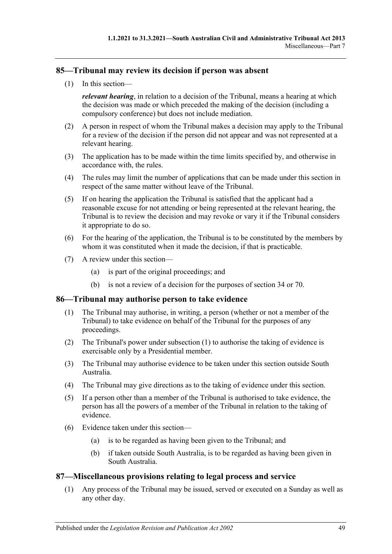# <span id="page-48-0"></span>**85—Tribunal may review its decision if person was absent**

(1) In this section—

*relevant hearing*, in relation to a decision of the Tribunal, means a hearing at which the decision was made or which preceded the making of the decision (including a compulsory conference) but does not include mediation.

- (2) A person in respect of whom the Tribunal makes a decision may apply to the Tribunal for a review of the decision if the person did not appear and was not represented at a relevant hearing.
- (3) The application has to be made within the time limits specified by, and otherwise in accordance with, the rules.
- (4) The rules may limit the number of applications that can be made under this section in respect of the same matter without leave of the Tribunal.
- (5) If on hearing the application the Tribunal is satisfied that the applicant had a reasonable excuse for not attending or being represented at the relevant hearing, the Tribunal is to review the decision and may revoke or vary it if the Tribunal considers it appropriate to do so.
- (6) For the hearing of the application, the Tribunal is to be constituted by the members by whom it was constituted when it made the decision, if that is practicable.
- (7) A review under this section—
	- (a) is part of the original proceedings; and
	- (b) is not a review of a decision for the purposes of [section](#page-21-3) 34 or [70.](#page-41-6)

### <span id="page-48-3"></span><span id="page-48-1"></span>**86—Tribunal may authorise person to take evidence**

- (1) The Tribunal may authorise, in writing, a person (whether or not a member of the Tribunal) to take evidence on behalf of the Tribunal for the purposes of any proceedings.
- (2) The Tribunal's power under [subsection](#page-48-3) (1) to authorise the taking of evidence is exercisable only by a Presidential member.
- (3) The Tribunal may authorise evidence to be taken under this section outside South Australia.
- (4) The Tribunal may give directions as to the taking of evidence under this section.
- (5) If a person other than a member of the Tribunal is authorised to take evidence, the person has all the powers of a member of the Tribunal in relation to the taking of evidence.
- (6) Evidence taken under this section—
	- (a) is to be regarded as having been given to the Tribunal; and
	- (b) if taken outside South Australia, is to be regarded as having been given in South Australia.

### <span id="page-48-2"></span>**87—Miscellaneous provisions relating to legal process and service**

(1) Any process of the Tribunal may be issued, served or executed on a Sunday as well as any other day.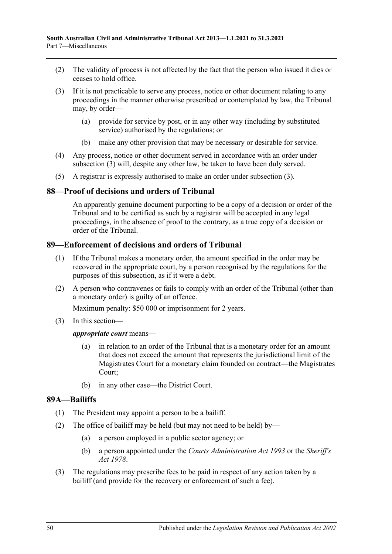- (2) The validity of process is not affected by the fact that the person who issued it dies or ceases to hold office.
- <span id="page-49-3"></span>(3) If it is not practicable to serve any process, notice or other document relating to any proceedings in the manner otherwise prescribed or contemplated by law, the Tribunal may, by order—
	- (a) provide for service by post, or in any other way (including by substituted service) authorised by the regulations; or
	- (b) make any other provision that may be necessary or desirable for service.
- (4) Any process, notice or other document served in accordance with an order under [subsection](#page-49-3) (3) will, despite any other law, be taken to have been duly served.
- (5) A registrar is expressly authorised to make an order under [subsection](#page-49-3) (3).

### <span id="page-49-0"></span>**88—Proof of decisions and orders of Tribunal**

An apparently genuine document purporting to be a copy of a decision or order of the Tribunal and to be certified as such by a registrar will be accepted in any legal proceedings, in the absence of proof to the contrary, as a true copy of a decision or order of the Tribunal.

### <span id="page-49-1"></span>**89—Enforcement of decisions and orders of Tribunal**

- (1) If the Tribunal makes a monetary order, the amount specified in the order may be recovered in the appropriate court, by a person recognised by the regulations for the purposes of this subsection, as if it were a debt.
- (2) A person who contravenes or fails to comply with an order of the Tribunal (other than a monetary order) is guilty of an offence.

Maximum penalty: \$50 000 or imprisonment for 2 years.

(3) In this section—

### *appropriate court* means—

- (a) in relation to an order of the Tribunal that is a monetary order for an amount that does not exceed the amount that represents the jurisdictional limit of the Magistrates Court for a monetary claim founded on contract—the Magistrates Court;
- (b) in any other case—the District Court.

### <span id="page-49-2"></span>**89A—Bailiffs**

- (1) The President may appoint a person to be a bailiff.
- (2) The office of bailiff may be held (but may not need to be held) by—
	- (a) a person employed in a public sector agency; or
	- (b) a person appointed under the *[Courts Administration Act](http://www.legislation.sa.gov.au/index.aspx?action=legref&type=act&legtitle=Courts%20Administration%20Act%201993) 1993* or the *[Sheriff's](http://www.legislation.sa.gov.au/index.aspx?action=legref&type=act&legtitle=Sheriffs%20Act%201978)  Act [1978](http://www.legislation.sa.gov.au/index.aspx?action=legref&type=act&legtitle=Sheriffs%20Act%201978)*.
- (3) The regulations may prescribe fees to be paid in respect of any action taken by a bailiff (and provide for the recovery or enforcement of such a fee).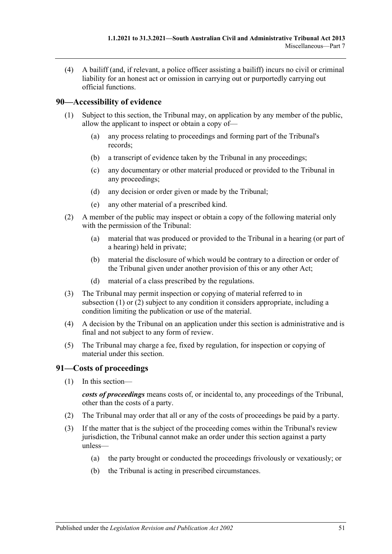(4) A bailiff (and, if relevant, a police officer assisting a bailiff) incurs no civil or criminal liability for an honest act or omission in carrying out or purportedly carrying out official functions.

# <span id="page-50-2"></span><span id="page-50-0"></span>**90—Accessibility of evidence**

- (1) Subject to this section, the Tribunal may, on application by any member of the public, allow the applicant to inspect or obtain a copy of—
	- (a) any process relating to proceedings and forming part of the Tribunal's records;
	- (b) a transcript of evidence taken by the Tribunal in any proceedings;
	- (c) any documentary or other material produced or provided to the Tribunal in any proceedings;
	- (d) any decision or order given or made by the Tribunal;
	- (e) any other material of a prescribed kind.
- <span id="page-50-3"></span>(2) A member of the public may inspect or obtain a copy of the following material only with the permission of the Tribunal:
	- (a) material that was produced or provided to the Tribunal in a hearing (or part of a hearing) held in private;
	- (b) material the disclosure of which would be contrary to a direction or order of the Tribunal given under another provision of this or any other Act;
	- (d) material of a class prescribed by the regulations.
- (3) The Tribunal may permit inspection or copying of material referred to in [subsection](#page-50-2) (1) or [\(2\)](#page-50-3) subject to any condition it considers appropriate, including a condition limiting the publication or use of the material.
- (4) A decision by the Tribunal on an application under this section is administrative and is final and not subject to any form of review.
- (5) The Tribunal may charge a fee, fixed by regulation, for inspection or copying of material under this section.

# <span id="page-50-1"></span>**91—Costs of proceedings**

(1) In this section—

*costs of proceedings* means costs of, or incidental to, any proceedings of the Tribunal, other than the costs of a party.

- (2) The Tribunal may order that all or any of the costs of proceedings be paid by a party.
- (3) If the matter that is the subject of the proceeding comes within the Tribunal's review jurisdiction, the Tribunal cannot make an order under this section against a party unless—
	- (a) the party brought or conducted the proceedings frivolously or vexatiously; or
	- (b) the Tribunal is acting in prescribed circumstances.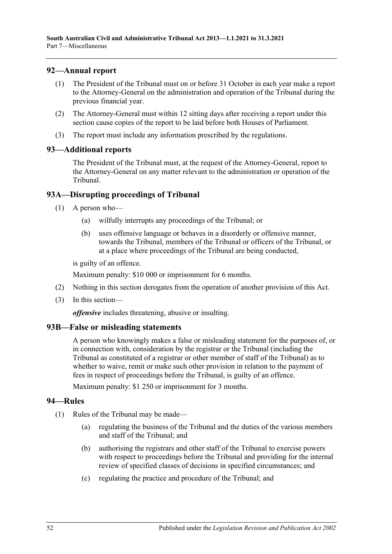# <span id="page-51-0"></span>**92—Annual report**

- (1) The President of the Tribunal must on or before 31 October in each year make a report to the Attorney-General on the administration and operation of the Tribunal during the previous financial year.
- (2) The Attorney-General must within 12 sitting days after receiving a report under this section cause copies of the report to be laid before both Houses of Parliament.
- (3) The report must include any information prescribed by the regulations.

### <span id="page-51-1"></span>**93—Additional reports**

The President of the Tribunal must, at the request of the Attorney-General, report to the Attorney-General on any matter relevant to the administration or operation of the Tribunal.

# <span id="page-51-2"></span>**93A—Disrupting proceedings of Tribunal**

- (1) A person who—
	- (a) wilfully interrupts any proceedings of the Tribunal; or
	- (b) uses offensive language or behaves in a disorderly or offensive manner, towards the Tribunal, members of the Tribunal or officers of the Tribunal, or at a place where proceedings of the Tribunal are being conducted,

is guilty of an offence.

Maximum penalty: \$10 000 or imprisonment for 6 months.

- (2) Nothing in this section derogates from the operation of another provision of this Act.
- (3) In this section—

*offensive* includes threatening, abusive or insulting.

### <span id="page-51-3"></span>**93B—False or misleading statements**

A person who knowingly makes a false or misleading statement for the purposes of, or in connection with, consideration by the registrar or the Tribunal (including the Tribunal as constituted of a registrar or other member of staff of the Tribunal) as to whether to waive, remit or make such other provision in relation to the payment of fees in respect of proceedings before the Tribunal, is guilty of an offence.

Maximum penalty: \$1 250 or imprisonment for 3 months.

### <span id="page-51-4"></span>**94—Rules**

- (1) Rules of the Tribunal may be made—
	- (a) regulating the business of the Tribunal and the duties of the various members and staff of the Tribunal; and
	- (b) authorising the registrars and other staff of the Tribunal to exercise powers with respect to proceedings before the Tribunal and providing for the internal review of specified classes of decisions in specified circumstances; and
	- (c) regulating the practice and procedure of the Tribunal; and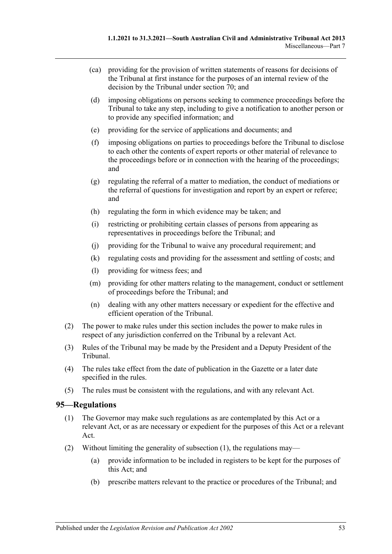- (ca) providing for the provision of written statements of reasons for decisions of the Tribunal at first instance for the purposes of an internal review of the decision by the Tribunal under [section](#page-41-6) 70; and
- (d) imposing obligations on persons seeking to commence proceedings before the Tribunal to take any step, including to give a notification to another person or to provide any specified information; and
- (e) providing for the service of applications and documents; and
- (f) imposing obligations on parties to proceedings before the Tribunal to disclose to each other the contents of expert reports or other material of relevance to the proceedings before or in connection with the hearing of the proceedings; and
- (g) regulating the referral of a matter to mediation, the conduct of mediations or the referral of questions for investigation and report by an expert or referee; and
- (h) regulating the form in which evidence may be taken; and
- (i) restricting or prohibiting certain classes of persons from appearing as representatives in proceedings before the Tribunal; and
- (j) providing for the Tribunal to waive any procedural requirement; and
- (k) regulating costs and providing for the assessment and settling of costs; and
- (l) providing for witness fees; and
- (m) providing for other matters relating to the management, conduct or settlement of proceedings before the Tribunal; and
- (n) dealing with any other matters necessary or expedient for the effective and efficient operation of the Tribunal.
- (2) The power to make rules under this section includes the power to make rules in respect of any jurisdiction conferred on the Tribunal by a relevant Act.
- (3) Rules of the Tribunal may be made by the President and a Deputy President of the Tribunal.
- (4) The rules take effect from the date of publication in the Gazette or a later date specified in the rules.
- (5) The rules must be consistent with the regulations, and with any relevant Act.

### <span id="page-52-1"></span><span id="page-52-0"></span>**95—Regulations**

- (1) The Governor may make such regulations as are contemplated by this Act or a relevant Act, or as are necessary or expedient for the purposes of this Act or a relevant Act.
- (2) Without limiting the generality of [subsection](#page-52-1) (1), the regulations may—
	- (a) provide information to be included in registers to be kept for the purposes of this Act; and
	- (b) prescribe matters relevant to the practice or procedures of the Tribunal; and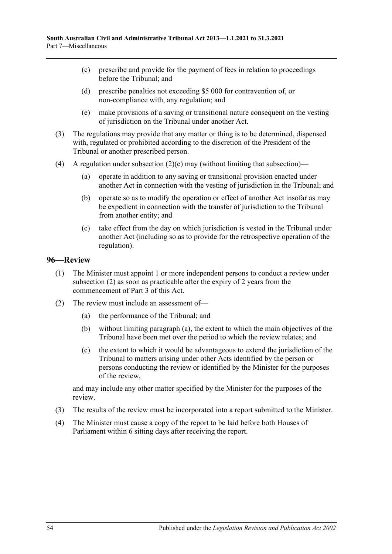- (c) prescribe and provide for the payment of fees in relation to proceedings before the Tribunal; and
- (d) prescribe penalties not exceeding \$5 000 for contravention of, or non-compliance with, any regulation; and
- (e) make provisions of a saving or transitional nature consequent on the vesting of jurisdiction on the Tribunal under another Act.
- <span id="page-53-1"></span>(3) The regulations may provide that any matter or thing is to be determined, dispensed with, regulated or prohibited according to the discretion of the President of the Tribunal or another prescribed person.
- (4) A regulation under [subsection](#page-53-1)  $(2)(e)$  may (without limiting that subsection)—
	- (a) operate in addition to any saving or transitional provision enacted under another Act in connection with the vesting of jurisdiction in the Tribunal; and
	- (b) operate so as to modify the operation or effect of another Act insofar as may be expedient in connection with the transfer of jurisdiction to the Tribunal from another entity; and
	- (c) take effect from the day on which jurisdiction is vested in the Tribunal under another Act (including so as to provide for the retrospective operation of the regulation).

# <span id="page-53-0"></span>**96—Review**

- (1) The Minister must appoint 1 or more independent persons to conduct a review under [subsection](#page-53-2) (2) as soon as practicable after the expiry of 2 years from the commencement of [Part](#page-20-1) 3 of this Act.
- <span id="page-53-3"></span><span id="page-53-2"></span>(2) The review must include an assessment of—
	- (a) the performance of the Tribunal; and
	- (b) without limiting [paragraph](#page-53-3) (a), the extent to which the main objectives of the Tribunal have been met over the period to which the review relates; and
	- (c) the extent to which it would be advantageous to extend the jurisdiction of the Tribunal to matters arising under other Acts identified by the person or persons conducting the review or identified by the Minister for the purposes of the review,

and may include any other matter specified by the Minister for the purposes of the review.

- (3) The results of the review must be incorporated into a report submitted to the Minister.
- (4) The Minister must cause a copy of the report to be laid before both Houses of Parliament within 6 sitting days after receiving the report.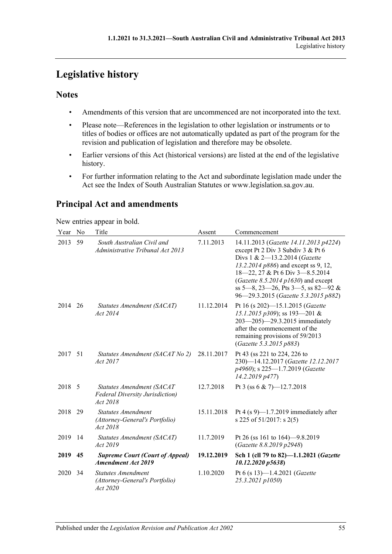# <span id="page-54-0"></span>**Legislative history**

# **Notes**

- Amendments of this version that are uncommenced are not incorporated into the text.
- Please note—References in the legislation to other legislation or instruments or to titles of bodies or offices are not automatically updated as part of the program for the revision and publication of legislation and therefore may be obsolete.
- Earlier versions of this Act (historical versions) are listed at the end of the legislative history.
- For further information relating to the Act and subordinate legislation made under the Act see the Index of South Australian Statutes or www.legislation.sa.gov.au.

# **Principal Act and amendments**

New entries appear in bold.

| Year    | No  | Title                                                                            | Assent     | Commencement                                                                                                                                                                                                                                                                                                |
|---------|-----|----------------------------------------------------------------------------------|------------|-------------------------------------------------------------------------------------------------------------------------------------------------------------------------------------------------------------------------------------------------------------------------------------------------------------|
| 2013    | 59  | South Australian Civil and<br>Administrative Tribunal Act 2013                   | 7.11.2013  | 14.11.2013 (Gazette 14.11.2013 p4224)<br>except Pt 2 Div 3 Subdiv 3 & Pt 6<br>Divs 1 & 2-13.2.2014 (Gazette<br>13.2.2014 p886) and except ss 9, 12,<br>18-22, 27 & Pt 6 Div 3-8.5.2014<br>(Gazette 8.5.2014 p1630) and except<br>ss 5-8, 23-26, Pts 3-5, ss 82-92 &<br>96-29.3.2015 (Gazette 5.3.2015 p882) |
| 2014    | 26  | Statutes Amendment (SACAT)<br>Act 2014                                           | 11.12.2014 | Pt 16 (s 202)-15.1.2015 (Gazette<br>15.1.2015 p309); ss 193-201 &<br>203-205)-29.3.2015 immediately<br>after the commencement of the<br>remaining provisions of 59/2013<br>(Gazette 5.3.2015 p883)                                                                                                          |
| 2017 51 |     | Statutes Amendment (SACAT No 2)<br>Act 2017                                      | 28.11.2017 | Pt 43 (ss 221 to 224, 226 to<br>230)-14.12.2017 (Gazette 12.12.2017<br>p4960); s 225-1.7.2019 (Gazette<br>14.2.2019 p477)                                                                                                                                                                                   |
| 2018    | - 5 | Statutes Amendment (SACAT<br><b>Federal Diversity Jurisdiction</b> )<br>Act 2018 | 12.7.2018  | Pt 3 (ss 6 & 7)-12.7.2018                                                                                                                                                                                                                                                                                   |
| 2018    | 29  | <b>Statutes Amendment</b><br>(Attorney-General's Portfolio)<br>Act 2018          | 15.11.2018 | Pt 4 (s 9)—1.7.2019 immediately after<br>s 225 of 51/2017: s 2(5)                                                                                                                                                                                                                                           |
| 2019    | 14  | Statutes Amendment (SACAT)<br>Act 2019                                           | 11.7.2019  | Pt 26 (ss 161 to 164)–9.8.2019<br>(Gazette 8.8.2019 p2948)                                                                                                                                                                                                                                                  |
| 2019    | 45  | <b>Supreme Court (Court of Appeal)</b><br><b>Amendment Act 2019</b>              | 19.12.2019 | Sch 1 (cll 79 to 82)-1.1.2021 (Gazette<br>10.12.2020 p5638)                                                                                                                                                                                                                                                 |
| 2020    | 34  | <b>Statutes Amendment</b><br>(Attorney-General's Portfolio)<br>Act 2020          | 1.10.2020  | Pt 6 (s 13)-1.4.2021 (Gazette<br>25.3.2021 p1050)                                                                                                                                                                                                                                                           |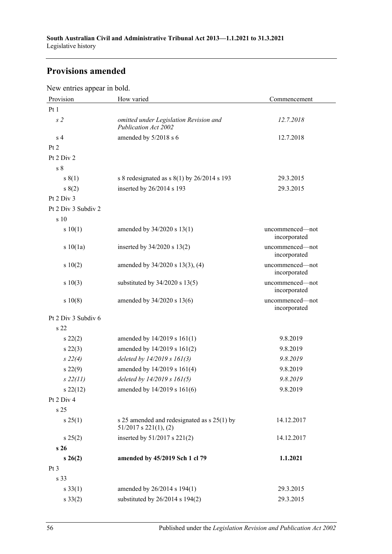# **Provisions amended**

New entries appear in bold.

| Provision           | How varied                                                                  | Commencement                    |
|---------------------|-----------------------------------------------------------------------------|---------------------------------|
| Pt1                 |                                                                             |                                 |
| s <sub>2</sub>      | omitted under Legislation Revision and<br>Publication Act 2002              | 12.7.2018                       |
| s <sub>4</sub>      | amended by 5/2018 s 6                                                       | 12.7.2018                       |
| Pt 2                |                                                                             |                                 |
| Pt 2 Div 2          |                                                                             |                                 |
| s 8                 |                                                                             |                                 |
| s(1)                | s 8 redesignated as $s(1)$ by 26/2014 s 193                                 | 29.3.2015                       |
| s(2)                | inserted by 26/2014 s 193                                                   | 29.3.2015                       |
| Pt 2 Div 3          |                                                                             |                                 |
| Pt 2 Div 3 Subdiv 2 |                                                                             |                                 |
| s 10                |                                                                             |                                 |
| s 10(1)             | amended by 34/2020 s 13(1)                                                  | uncommenced—not<br>incorporated |
| s10(1a)             | inserted by $34/2020$ s $13(2)$                                             | uncommenced-not<br>incorporated |
| 10(2)               | amended by 34/2020 s 13(3), (4)                                             | uncommenced-not<br>incorporated |
| s 10(3)             | substituted by $34/2020$ s $13(5)$                                          | uncommenced—not<br>incorporated |
| s 10(8)             | amended by 34/2020 s 13(6)                                                  | uncommenced-not<br>incorporated |
| Pt 2 Div 3 Subdiv 6 |                                                                             |                                 |
| s <sub>22</sub>     |                                                                             |                                 |
| $s\,22(2)$          | amended by $14/2019$ s $161(1)$                                             | 9.8.2019                        |
| $s\,22(3)$          | amended by 14/2019 s 161(2)                                                 | 9.8.2019                        |
| $s\ 22(4)$          | deleted by 14/2019 s 161(3)                                                 | 9.8.2019                        |
| $s\,22(9)$          | amended by 14/2019 s 161(4)                                                 | 9.8.2019                        |
| $s\,22(11)$         | deleted by 14/2019 s 161(5)                                                 | 9.8.2019                        |
| $s\,22(12)$         | amended by 14/2019 s 161(6)                                                 | 9.8.2019                        |
| Pt 2 Div 4          |                                                                             |                                 |
| s <sub>25</sub>     |                                                                             |                                 |
| $s \, 25(1)$        | s 25 amended and redesignated as $s$ 25(1) by<br>$51/2017$ s $221(1)$ , (2) | 14.12.2017                      |
| $s \, 25(2)$        | inserted by 51/2017 s 221(2)                                                | 14.12.2017                      |
| s 26                |                                                                             |                                 |
| $s\,26(2)$          | amended by 45/2019 Sch 1 cl 79                                              | 1.1.2021                        |
| Pt <sub>3</sub>     |                                                                             |                                 |
| s 33                |                                                                             |                                 |
| $s \, 33(1)$        | amended by 26/2014 s 194(1)                                                 | 29.3.2015                       |
| $s \, 33(2)$        | substituted by 26/2014 s 194(2)                                             | 29.3.2015                       |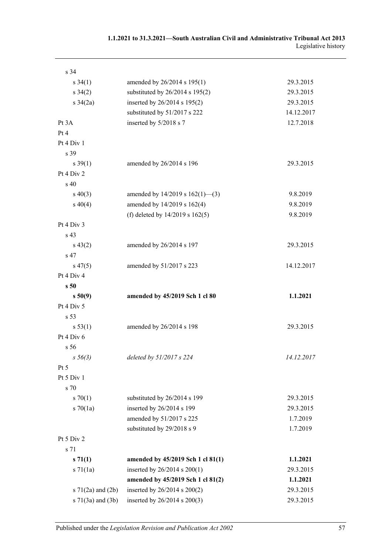| s 34                                              |                                                              |                        |
|---------------------------------------------------|--------------------------------------------------------------|------------------------|
| $s \, 34(1)$                                      | amended by 26/2014 s 195(1)                                  | 29.3.2015              |
| $s \, 34(2)$                                      | substituted by $26/2014$ s $195(2)$                          | 29.3.2015              |
| $s \frac{34}{2a}$                                 | inserted by 26/2014 s 195(2)                                 | 29.3.2015              |
|                                                   | substituted by 51/2017 s 222                                 | 14.12.2017             |
| Pt 3A                                             | inserted by 5/2018 s 7                                       | 12.7.2018              |
| Pt 4                                              |                                                              |                        |
| Pt 4 Div 1                                        |                                                              |                        |
| s 39                                              |                                                              |                        |
| $s \, 39(1)$                                      | amended by 26/2014 s 196                                     | 29.3.2015              |
| Pt 4 Div 2                                        |                                                              |                        |
| s 40                                              |                                                              |                        |
| $s\ 40(3)$                                        | amended by $14/2019$ s $162(1)$ —(3)                         | 9.8.2019               |
| $s\ 40(4)$                                        | amended by 14/2019 s 162(4)                                  | 9.8.2019               |
|                                                   | (f) deleted by $14/2019$ s $162(5)$                          | 9.8.2019               |
| Pt 4 Div 3                                        |                                                              |                        |
| s 43                                              |                                                              |                        |
| $s\,43(2)$                                        | amended by 26/2014 s 197                                     | 29.3.2015              |
| s 47                                              |                                                              |                        |
| $s\,47(5)$                                        | amended by 51/2017 s 223                                     | 14.12.2017             |
| Pt 4 Div 4                                        |                                                              |                        |
| s <sub>50</sub>                                   |                                                              |                        |
| s 50(9)                                           | amended by 45/2019 Sch 1 cl 80                               | 1.1.2021               |
| Pt 4 Div 5                                        |                                                              |                        |
| s 53                                              |                                                              |                        |
| s 53(1)                                           | amended by 26/2014 s 198                                     | 29.3.2015              |
| Pt 4 Div 6                                        |                                                              |                        |
| s <sub>56</sub>                                   |                                                              |                        |
| $s\,56(3)$                                        | deleted by 51/2017 s 224                                     | 14.12.2017             |
| Pt 5                                              |                                                              |                        |
| Pt 5 Div 1                                        |                                                              |                        |
| s 70                                              |                                                              |                        |
| 570(1)                                            | substituted by 26/2014 s 199                                 | 29.3.2015              |
| $s \, 70(1a)$                                     | inserted by 26/2014 s 199                                    | 29.3.2015              |
|                                                   | amended by 51/2017 s 225                                     | 1.7.2019               |
|                                                   | substituted by 29/2018 s 9                                   | 1.7.2019               |
| Pt 5 Div 2                                        |                                                              |                        |
| s 71                                              |                                                              |                        |
| s 71(1)                                           | amended by 45/2019 Sch 1 cl 81(1)                            | 1.1.2021               |
| $s \, 71(1a)$                                     | inserted by 26/2014 s 200(1)                                 | 29.3.2015              |
|                                                   |                                                              |                        |
|                                                   |                                                              |                        |
|                                                   | amended by 45/2019 Sch 1 cl 81(2)                            | 1.1.2021               |
| s $71(2a)$ and $(2b)$<br>$s \, 71(3a)$ and $(3b)$ | inserted by 26/2014 s 200(2)<br>inserted by 26/2014 s 200(3) | 29.3.2015<br>29.3.2015 |